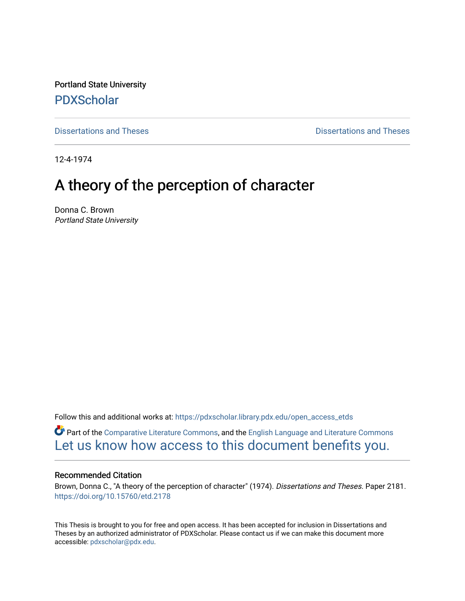Portland State University [PDXScholar](https://pdxscholar.library.pdx.edu/)

[Dissertations and Theses](https://pdxscholar.library.pdx.edu/open_access_etds) **Dissertations and Theses** 

12-4-1974

# A theory of the perception of character

Donna C. Brown Portland State University

Follow this and additional works at: [https://pdxscholar.library.pdx.edu/open\\_access\\_etds](https://pdxscholar.library.pdx.edu/open_access_etds?utm_source=pdxscholar.library.pdx.edu%2Fopen_access_etds%2F2181&utm_medium=PDF&utm_campaign=PDFCoverPages)

Part of the [Comparative Literature Commons](http://network.bepress.com/hgg/discipline/454?utm_source=pdxscholar.library.pdx.edu%2Fopen_access_etds%2F2181&utm_medium=PDF&utm_campaign=PDFCoverPages), and the [English Language and Literature Commons](http://network.bepress.com/hgg/discipline/455?utm_source=pdxscholar.library.pdx.edu%2Fopen_access_etds%2F2181&utm_medium=PDF&utm_campaign=PDFCoverPages) [Let us know how access to this document benefits you.](http://library.pdx.edu/services/pdxscholar-services/pdxscholar-feedback/) 

# Recommended Citation

Brown, Donna C., "A theory of the perception of character" (1974). Dissertations and Theses. Paper 2181. <https://doi.org/10.15760/etd.2178>

This Thesis is brought to you for free and open access. It has been accepted for inclusion in Dissertations and Theses by an authorized administrator of PDXScholar. Please contact us if we can make this document more accessible: [pdxscholar@pdx.edu.](mailto:pdxscholar@pdx.edu)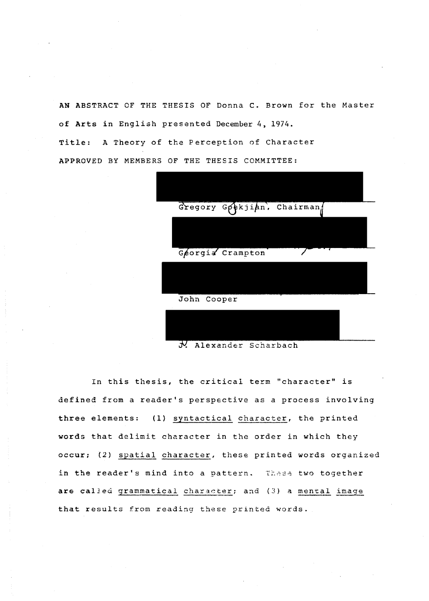AN ABSTRACT OF THE THESIS OF Donna C. Brown for the Master of **Arts** in English presented December 4, 1974. Title: A Theory of the Perception of Character APPROVED BY MEMBERS OF THE THESIS COMMITTEE:

|             | Gregory $G$ $\phi$ kji $\phi$ n, Chairman |   |  |
|-------------|-------------------------------------------|---|--|
|             |                                           |   |  |
|             | Georgia Crampton                          | 7 |  |
|             |                                           |   |  |
| John Cooper |                                           |   |  |
|             |                                           |   |  |

J. Alexander Scharbach

In this thesis, the critical term "character" is defined from a reader's perspective as a process involving three elements: (1) syntactical character, the printed words that delimit character in the order in which they occur; (2) spatial character, these printed words organized in the reader's mind into a pattern. These two together are called grammatical character; and (3) a mental image that results from reading these printed words.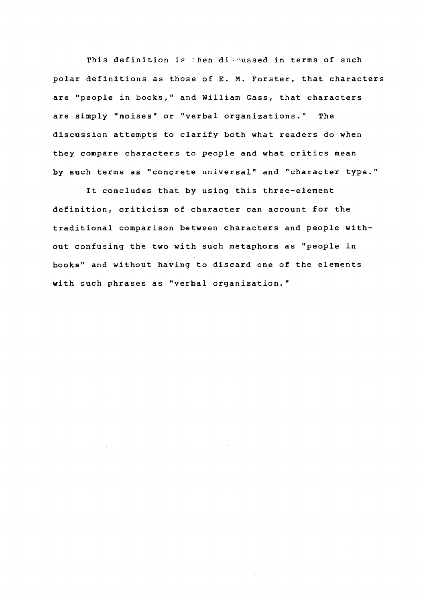This definition is then diamussed in terms of such polar definitions as those of E. M. Forster, that characters are "people in books," and William Gass, that characters are simply "noises" or "verbal organizations." The discussion attempts to clarify both what readers do when they compare characters to people and what critics mean by such terms as "concrete universal" and "character type."

It concludes that by using this three-element definition, criticism of character can account for the traditional comparison between characters and people without confusing the two with such metaphors as "people in books" and without having to discard one of the elements with such phrases as "verbal organization."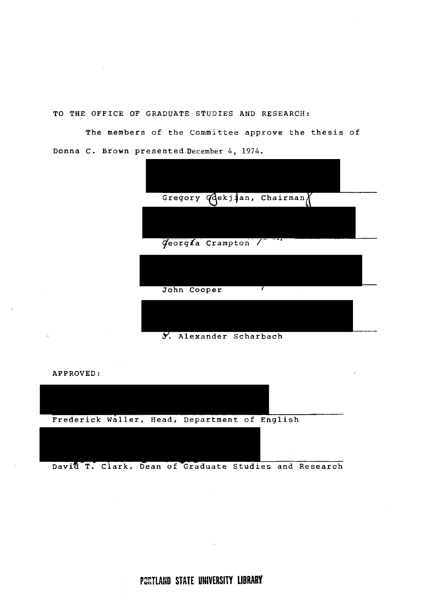TO THE OFFICE OF GRADUATE STUDIES AND RESEARCH:

The members of the Committee approve the thesis of Donna c. Brown presented December 4, 1974.





**PCRTLAND STATE UNIVERSITY LIBRARY**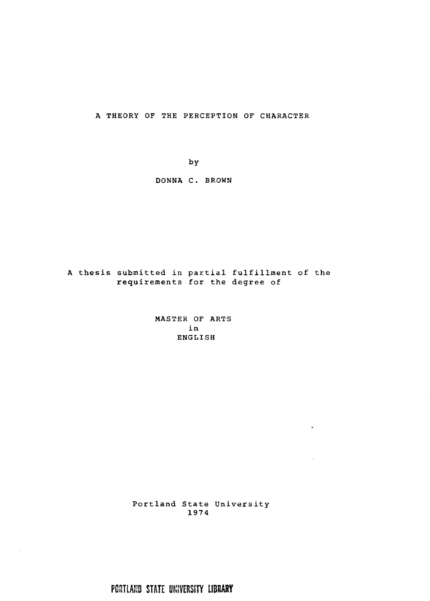A THEORY OF THE PERCEPTION OF CHARACTER

by

DONNA C. BROWN

A thesis submitted in partial fulfillment of the requirements for the degree of

> MASTER OF ARTS in ENGLISH

Portland State University 1974

 $\ddot{\phantom{0}}$ 

 $\mathbf{r}$ 

PORTLAND **STATE** UNIVERSITY **LIBRARY** 

 $\mathcal{L}_{\rm{max}}$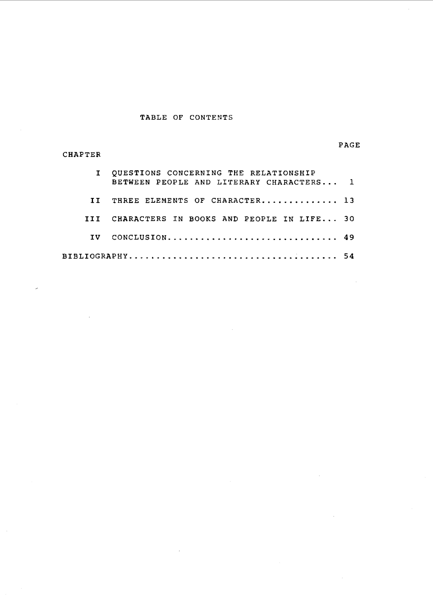# TABLE OF CONTENTS

CHAPTER

# PAGE

|     | I QUESTIONS CONCERNING THE RELATIONSHIP<br>BETWEEN PEOPLE AND LITERARY CHARACTERS 1 |  |
|-----|-------------------------------------------------------------------------------------|--|
| TT. | THREE ELEMENTS OF CHARACTER 13                                                      |  |
|     | III CHARACTERS IN BOOKS AND PEOPLE IN LIFE 30                                       |  |
|     | IV CONCLUSION 49                                                                    |  |
|     |                                                                                     |  |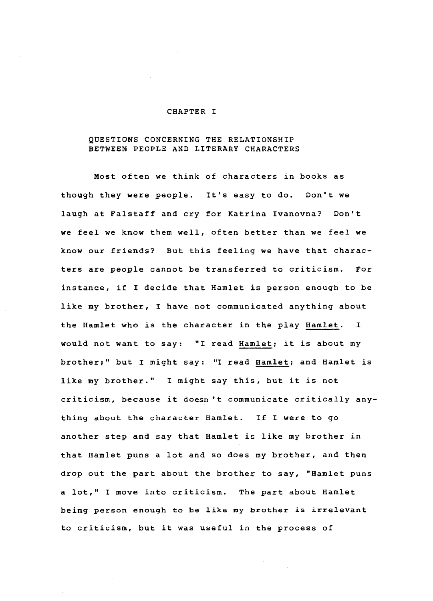#### CHAPTER I

# QUESTIONS CONCERNING THE RELATIONSHIP BETWEEN PEOPLE AND LITERARY CHARACTERS

Most often we think of characters in books as though they were people. It's easy to do. Don't we laugh at Falstaff and cry for Katrina Ivanovna? Don't we feel we know them well, often better than we feel we know our friends? But this feeling we have that characters are people cannot be transferred to criticism. For instance, if I decide that Hamlet is person enough to be like my brother, I have not communicated anything about the Hamlet who *is* the character in the play Hamlet. I would not want to say: "I read Hamlet; it is about my brother;" but I might say: "I read Hamlet; and Hamlet is like my brother." I might say this, but it is not criticism, because it doesn't communicate critically anything about the character Hamlet. If I were to go another step and say that Hamlet is like my brother in that Hamlet puns a lot and so does my brother, and then drop out the part about the brother to say, "Hamlet puns a lot," I move into criticism. The part about Hamlet being person enough to be like my brother is irrelevant to criticism, but it was useful in the process of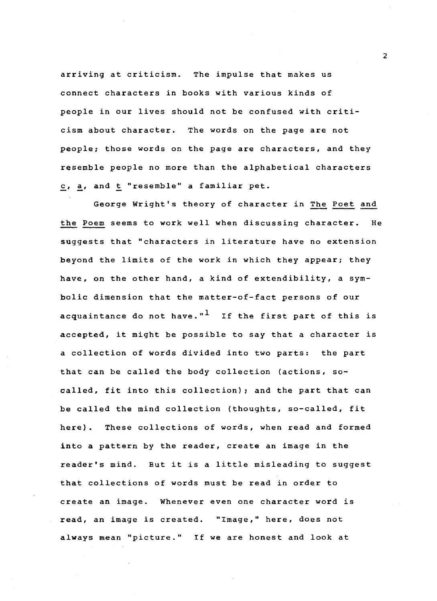arriving at criticism. The impulse that makes us connect characters in books with various kinds of people in our lives should not be confused with criticism about character. The words on the page are not people; those words on the page are characters, and they resemble people no more than the alphabetical characters *£ <sup>1</sup>*~' and ~ "resemble" a familiar pet.

George Wright's theory of character in The Poet and the Poem seems to work well when discussing character. He suggests that "characters in literature have no extension beyond the limits of the work in which they appear; they have, on the other hand, a kind of extendibility, a symbolic dimension that the matter-of-fact persons of our acquaintance do not have." $1$  If the first part of this is accepted, it might be possible to say that a character is a collection of words divided into two parts: the part that can be called the body collection (actions, socalled, fit into this collection); and the part that can be called the mind collection (thoughts, so-called, fit here). These collections of words, when read and formed into a pattern by the reader, create an image in the reader's mind. But it is a little misleading to suggest that collections of words must be read in order to create an image. Whenever even one character word is read, an image is created. "Image," here, does not always mean "picture." If we are honest and look at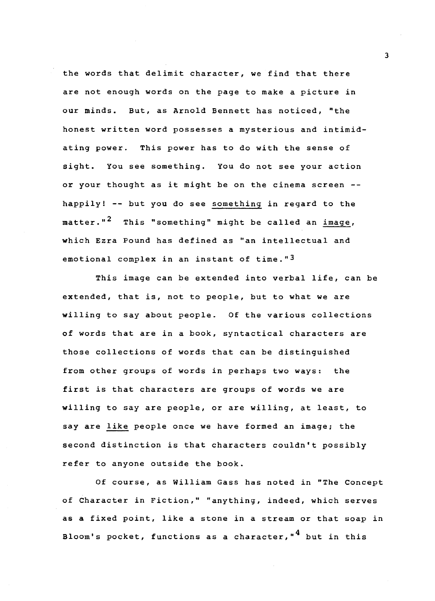the words that delimit character, we find that there are not enough words on the page to make a picture in our minds. But, as Arnold Bennett has noticed, "the honest written word possesses a mysterious and intimidating power. This power has to do with the sense of sight. You see something. You do not see your action or your thought as it might be on the cinema screen - happily! -- but you do see something *in* regard to the matter."<sup>2</sup> This "something" might be called an image, which Ezra Pound has defined as "an intellectual and emotional complex in an instant of time."<sup>3</sup>

This image can be extended into verbal life, can be extended, that is, not to people, but to what we are willing to say about people. Of the various collections of words that are *in* a book, syntactical characters are those collections of words that can be distinguished from other groups of words in perhaps two ways: the first is that characters are groups of words we are willing to say are people, or are willing, at least, to say are like people once we have formed an image; the second distinction is that characters couldn't possibly refer to anyone outside the book.

Of course, as William Gass has noted in "The Concept of Character in Fiction," "anything, indeed, which serves as a fixed point, like a stone *in* a stream or that soap in Bloom's pocket, functions as a character,"<sup>4</sup> but in this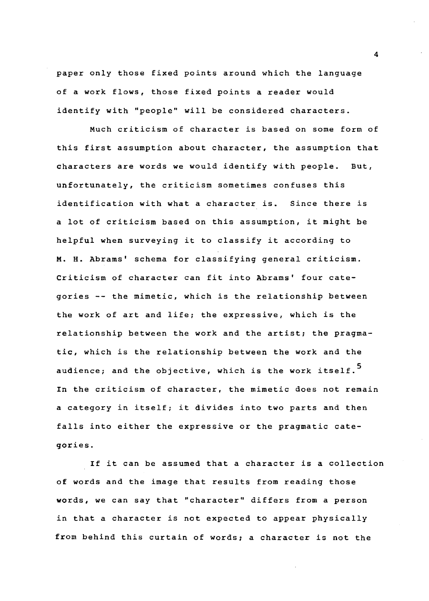paper only those fixed points around which the language of a work flows, those fixed points a reader would identify with "people" will be considered characters.

Much criticism of character is based on some form of this first assumption about character, the assumption that characters are words we would identify with people. But, unfortunately, the criticism sometimes confuses this identification with what a character is. Since there is a lot of criticism based on this assumption, it might be helpful when surveying it to classify it according to M. H. Abrams' schema for classifying general criticism. Criticism of character can fit into Abrams' four categories -- the mimetic, which is the relationship between the work of art and life; the expressive, which is the relationship between the work and the artist; the pragmatic, which is the relationship between the work and the audience; and the objective, which is the work itself.<sup>5</sup> In the criticism of character, the mimetic does not remain a category in itself; it divides into two parts and then falls into either the expressive or the pragmatic categories.

If it can be assumed that a character is a collection of words and the image that results from reading those words, we can say that "character" differs from a person in that a character is not expected to appear physically from behind this curtain of words; a character is not the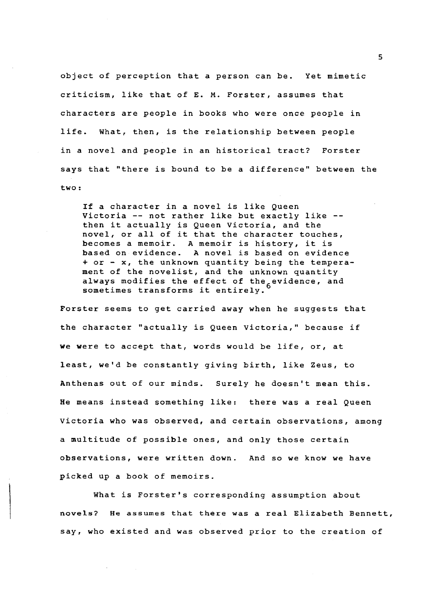object of perception that a person can be. Yet mimetic criticism, like that of E. M. Forster, assumes that characters are people in books who were once people in life. What, then, is the relationship between people in a novel and people in an historical tract? Forster says that "there is bound to be a difference" between the two:

If a character in a novel is like Queen Victoria -- not rather like but exactly like - then it actually is Queen Victoria, and the novel, or all of it that the character touches, becomes a memoir. A memoir is history, it is<br>based on evidence. A novel is based on evide A novel is based on evidence + or - x, the unknown quantity being the temperament of the novelist, and the unknown quantity always modifies the effect of the evidence, and sometimes transforms it entirely.

Forster seems to get carried away when he suggests that the character "actually is Queen Victoria," because if we were to accept that, words would be life, or, at least, we'd be constantly giving birth, like Zeus, to Anthenas out of our minds. Surely he doesn't mean this. He means instead something like: there was a real Queen Victoria who was observed, and certain observations, among a multitude of possible ones, and only those certain observations, were written down. And so we know we have picked up a book of memoirs.

What is Forster's corresponding assumption about novels? He assumes that there was a real Elizabeth Bennett, say, who existed and was observed prior to the creation of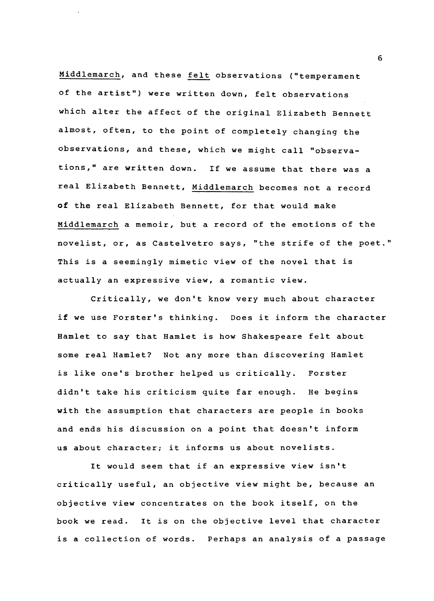Middlemarch, and these felt observations ("temperament of the artist") were written down, felt observations which alter the affect of the original Elizabeth Bennett almost, often, to the point of completely changing the observations, and these, which we might call "observations," are written down. If we assume that there was a real Elizabeth Bennett, Middlemarch becomes not a record of the real Elizabeth Bennett, for that would make Middlemarch a memoir, but a record of the emotions of the novelist, or, as Castelvetro says, "the strife of the poet." This is a seemingly mimetic view of the novel that is actually an expressive view, a romantic view.

Critically, we don't know very much about character if we use Forster's thinking. Does it inform the character Hamlet to say that Hamlet is how Shakespeare felt about some real Hamlet? Not any more than discovering Hamlet is like one's brother helped us critically. Forster didn't take his criticism quite far enough. He begins with the assumption that characters are people in books and ends his discussion on a point that doesn't inform us about character; it informs us about novelists.

It would seem that if an expressive view isn't critically useful, an objective view might be, because an objective view concentrates on the book itself, on the book we read. It is on the objective level that character is a collection of words. Perhaps an analysis of a passage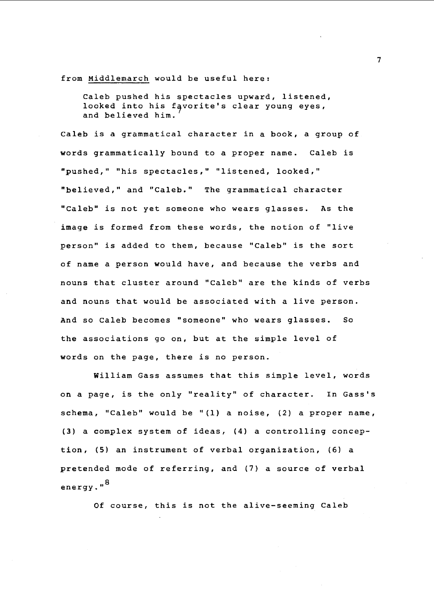from Middlemarch would be useful here:

Caleb pushed his spectacles upward, listened, looked into his favorite's clear young eyes, and believed him.

Caleb is a grammatical character in a book, a group of words grammatically bound to a proper name. Caleb is "pushed," "his spectacles," "listened, looked," "believed," and "Caleb." The grammatical character "Caleb" is not yet someone who wears glasses. As the image is formed from these words, the notion of "live person" is added to them, because "Caleb" is the sort of name a person would have, and because the verbs and nouns that cluster around "Caleb" are the kinds of verbs and nouns that would be associated with a live person. And so caleb becomes "someone" who wears glasses. So the associations go on, but at the simple level of words on the page, there is no person.

William Gass assumes that this simple level, words on a page, is the only "reality" of character. In Gass's schema, "Caleb" would be "(1) a noise, (2) a proper name, (3) a complex system of ideas, (4) a controlling conception, (5) an instrument of verbal organization, (6) a pretended mode of referring, and (7) a source of verbal energy."<sup>8</sup>

Of course, this is not the alive-seeming Caleb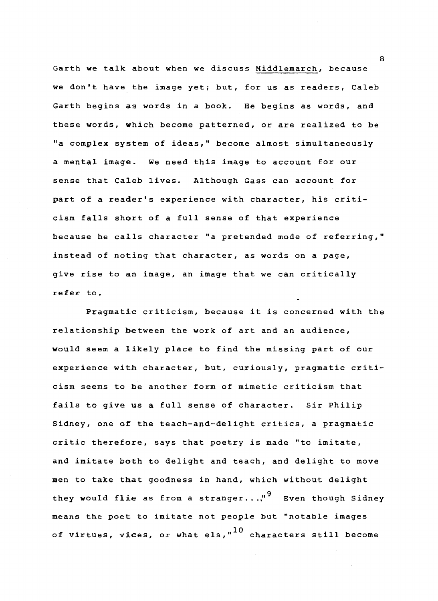Garth we talk about when we discuss Middlemarch, because we don't have the image yet; but, for us as readers, Caleb Garth begins as words in a book. He begins as words, and these words, which become patterned, or are realized to be "a complex system of ideas," become almost simultaneously a mental image. We need this image to account for our sense that Caleb lives. Although Gass can account for part of a reader's experience with character, his criticism falls short of a full sense of that experience because he calls character "a pretended mode of referring," instead of noting that character, as words on a page, give rise to an image, an image that we can critically refer to.

Pragmatic criticism, because it is concerned with the relationship between the work of art and an audience, would seem a likely place to find the missing part of our experience with character, but, curiously, pragmatic criticism seems to be another form of mimetic criticism that fails to give us a full sense of character. Sir Philip Sidney, one of the teach-and-delight critics, a pragmatic critic therefore, says that poetry is made "tc imitate, and imitate both to delight and teach, and delight to move men to take that goodness in hand, which without delight they would flie as from a stranger...,"<sup>9</sup> Even though Sidney means the poet to imitate not people but "notable images of virtues, vices, or what els," $10$  characters still become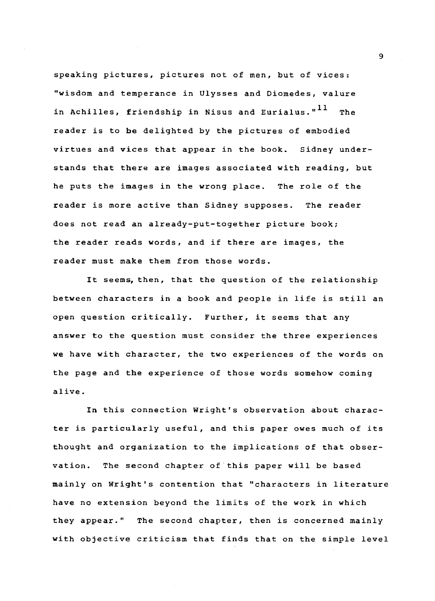speaking pictures, pictures not of men, but of vices: "wisdom and temperance in Ulysses and Diomedes, valure in Achilles, friendship in Nisus and Eurialus."<sup>11</sup> The reader is to be delighted by the pictures of embodied virtues and vices that appear in the book. Sidney understands that there are images associated with reading, but he puts the images in the wrong place. The role of the reader is more active than Sidney supposes. The reader does not read an already-put-together picture book; the reader reads words, and if there are images, the reader must make them from those words.

It seems, then, that the question of the relationship between characters in a book and people in life is still an open question critically. Further, it seems that any answer to the question must consider the three experiences we have with character, the two experiences of the words on the page and the experience of those words somehow coming alive.

In this connection Wright's observation about character is particularly useful, and this paper owes much of its thought and organization to the implications of that observation. The second chapter of this paper will be based mainly on Wright's contention that "characters in literature have no extension beyond the limits of the work in which they appear." The second chapter, then is concerned mainly with objective criticism that finds that on the simple level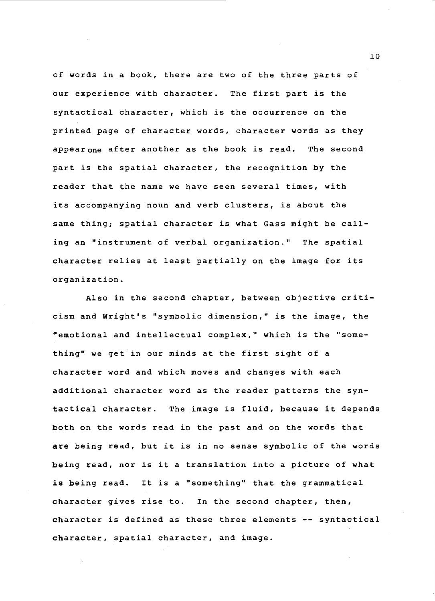of words in a book, there are two of the three parts of our experience with character. The first part is the syntactical character, which is the occurrence on the printed page of character words, character words as they appearone after another as the book is read. The second part is the spatial character, the recognition by the reader that the name we have seen several times, with its accompanying noun and verb clusters, is about the same thing; spatial character is what Gass might be calling an "instrument of verbal organization." The spatial character relies at least partially on the image for its organization.

Also in the second chapter, between objective criticism and Wright's "symbolic dimension," is the image, the "emotional and intellectual complex," which is the "something" we get in our minds at the first sight of a character word and which moves and changes with each additional character word as the reader patterns the syntactical character. The image is fluid, because it depends both on the words read in the past and on the words that are being read, but it is in no sense symbolic of the words being read, nor is it a translation into a picture of what is being read. It is a "something" that the grammatical character gives rise to. In the second chapter, then, character is defined as these three elements -- syntactical character, spatial character, and image.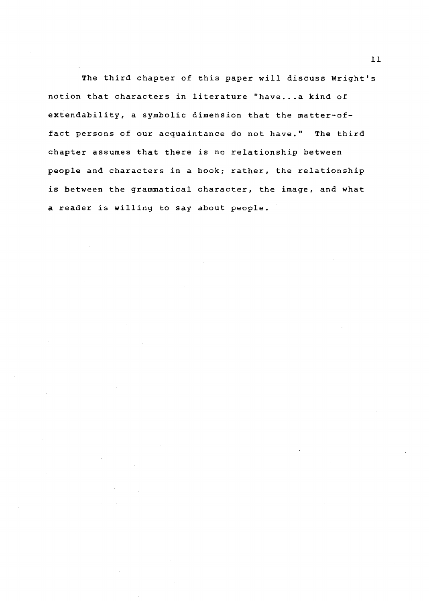The third chapter of this paper will discuss Wright's notion that characters in literature "have...a kind of extendability, a symbolic dimension that the matter-offact persons of our acquaintance do not have." The third chapter assumes that there is no relationship between people and characters in a book; rather, the relationship is between the grammatical character, the image, and what a reader is willing to say about people.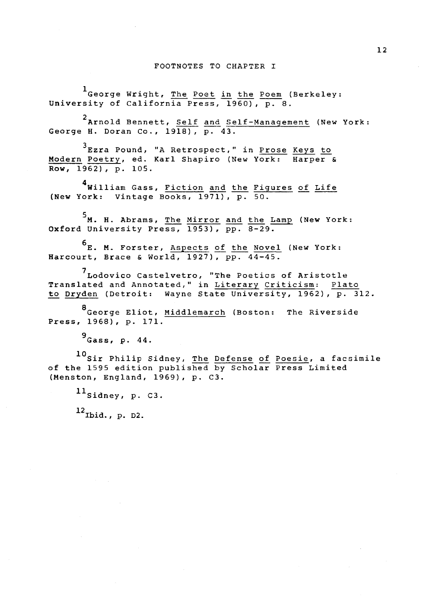#### FOOTNOTES TO CHAPTER I

1 George Wright, The Poet in the Poem (Berkeley: University of California Press, 1960), p. 8.

2 Arnold Bennett, Self and Self-Management (New York: George H. Doran Co., 1918), p. 43.

<sup>3</sup>Ezra Pound, "A Retrospect," in Prose Keys to Modern Poetry, ed. Karl Shapiro (New York: Harper &  $Row, 1962), p. 105.$ 

4<br>**William Gass, <u>Fiction</u> and the Figures of Life** (New York: Vintage Books,  $1971$ ),  $p.$  50.

5<br>**M. H. A**brams, <u>The Mirror and the Lamp</u> (New York: Oxford University Press,  $1953$ ),  $pp. 8-29$ .

6<br>E. M. Forster, <u>Aspects of the Novel</u> (New York: Harcourt, Brace & World, 1927), pp. 44-45.

<sup>7</sup>Lodovico Castelvetro, "The Poetics of Aristotle Translated and Annotated," in Literary Criticism: Plato to Dryden (Detroit: Wayne State University, 1962), p. 312.

<sup>a</sup>George Eliot, Middlemarch (Boston: The Riverside Press, 1968), p. 171.

 $^9$  Gass, p. 44.

10 Sir Philip Sidney, The Defense of Poesie, a facsimile of the 1595 edition published by Scholar Press Limited (Menston, England, 1969), p. C3.

 $^{11}$ Sidney, p. C3.

 $^{12}$ Ibid., p. D2.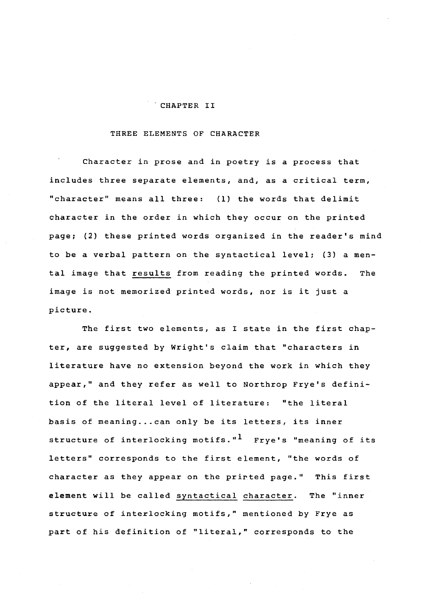#### . CHAPTER II

## THREE ELEMENTS OF CHARACTER

Character in prose and in poetry is a process that includes three separate elements, and, as a critical term, "character" means all three: (1) the words that delimit character in the order in which they occur on the printed page; (2) these printed words organized in the reader's mind to be a verbal pattern on the syntactical level; (3) a mental image that results from reading the printed words. The image is not memorized printed words, nor is it just a picture.

The first two elements, as I state in the first chapter, are suggested by Wright's claim that "characters in literature have no extension beyond the work in which they appear," and they refer as well to Northrop Frye's definition of the literal level of literature: "the literal basis of meaning... can only be its letters, its inner structure of interlocking motifs."<sup>1</sup> Frye's "meaning of its letters" corresponds to the first element, "the words of character as they appear on the prirted page." This first element will be called syntactical character. The "inner structure of interlocking motifs," mentioned by Frye as part of his definition of "literal," corresponds to the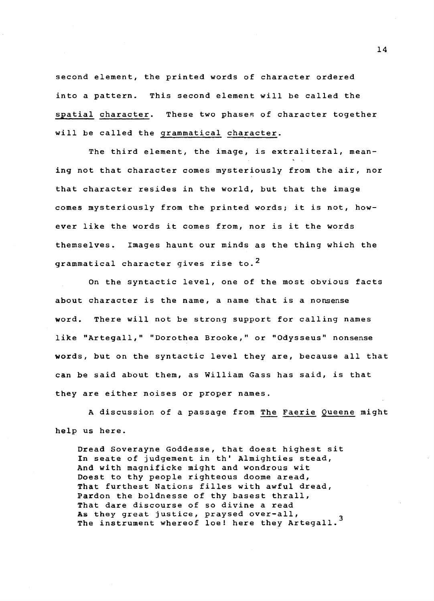second element, the printed words of character ordered into a pattern. This second element will be called the spatial character. These two phases of character together will be called the grammatical character.

The third element, the image, is extraliteral, meaning not that character comes mysteriously from the air, nor that character resides in the world, but that the image comes mysteriously from the printed words; it is not, however like the words it comes from, nor is it the words themselves. Images haunt our minds as the thing which the grammatical character gives rise to.<sup>2</sup>

On the syntactic level, one of the most obvious facts about character is the name, a name that is a nonsense word. There will not be strong support for calling names like "Artegall," "Dorothea Brooke," or "Odysseus" nonsense words, but on the syntactic level they are, because all that can be said about them, as William Gass has said, is that they are either noises or proper names.

A discussion of a passage from The Faerie Queene might help us here.

Dread Soverayne Goddesse, that doest highest sit In seate of judgement in th' Almighties stead, And with magnificke might and wondrous wit Doest to thy people righteous doome aread, That furthest Nations filles with awful dread, Pardon the boldnesse of thy basest thrall, That dare discourse of so divine a read As they great justice, praysed over-all,<br>The instrument whereof loe! here they Artegall.<sup>3</sup>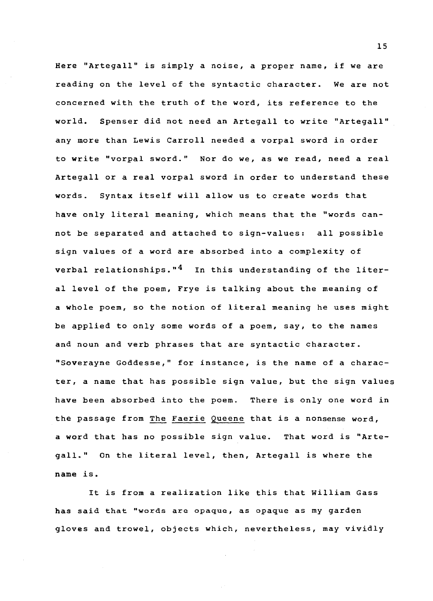Here "Artegall" is simply a noise, a proper name, if we are reading on the level of the syntactic character. We are not concerned with the truth of the word, its reference to the world. Spenser did not need an Artegall to write "Artegall" any more than Lewis Carroll needed a vorpal sword in order to write "vorpal sword." Nor do we, as we read, need a real Artegall or a real vorpal sword in order to understand these words. Syntax itself will allow us to create words that have only literal meaning, which means that the "words cannot be separated and attached to sign-values: all possible sign values of a word are absorbed into a complexity of verbal relationships." $4$  In this understanding of the literal level of the poem, Frye is talking about the meaning of a whole poem, so the notion of literal meaning he uses might be applied to only some words of a poem, say, to the names and noun and verb phrases that are syntactic character. "Soverayne Goddesse," for instance, is the name of a character, a name that has possible sign value, but the sign values have been absorbed into the poem. There is only one word in the passage from The Faerie Queene that is a nonsense word, a word that has no possible sign value. That word is "Artegall." On the literal level, then, Artegall is where the name is.

It is from a realization like this that William Gass has said that "words are opaque, as opaque as my garden gloves and trowel, objects which, nevertheless, may vividly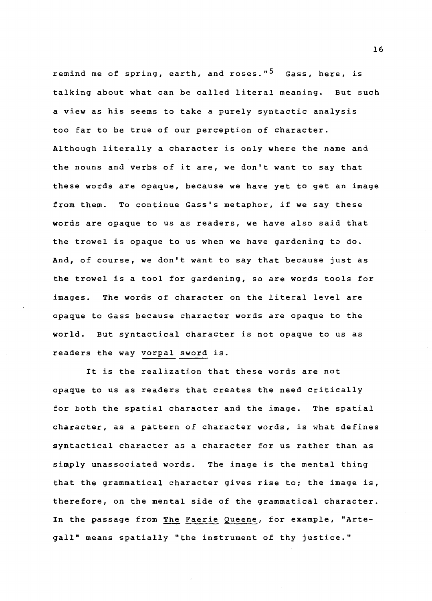remind me of spring, earth, and roses."<sup>5</sup> Gass, here, is talking about what can be called literal meaning. But such a view as his seems to take a purely syntactic analysis too far to be true of our perception of character. Although literally a character is only where the name and the nouns and verbs of it are, we don't want to say that these words are opaque, because we have yet to get an image from them. To continue Gass's metaphor, if we say these words are opaque to us as readers, we have also said that the trowel is opaque to us when we have gardening to do. And, of course, we don't want to say that because just as the trowel is a tool for gardening, so are words tools for images. The words of character on the literal level are opaque to Gass because character words are opaque to the world. But syntactical character is not opaque to us as readers the way vorpal sword is.

It is the realization that these words are not opaque to us as readers that creates the need critically for both the spatial character and the image. The spatial character, as a pattern of character words, is what defines syntactical character as a character for us rather than as simply unassociated words. The image is the mental thing that the grammatical character gives rise to; the image is, therefore, on the mental side of the grammatical character. In the passage from The Faerie Queene, for example, "Artegall" means spatially "the instrument of thy justice."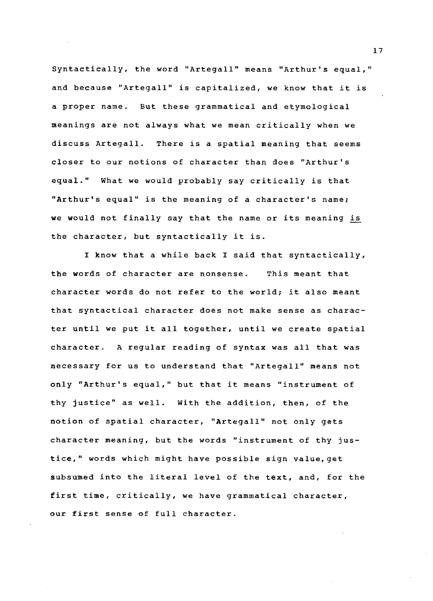Syntactically, the word ''Artegall" means "Arthur's equal," and because "Artegall" is capitalized, we know that it is a proper name. But these grammatical and etymological meanings are not always what we mean critically when we discuss Artegall. There is a spatial meaning that seems closer to our notions of character than does "Arthur's equal." What we would probably say critically is that "Arthur's equal" is the meaning of a character's name; we would not finally say that the name or its meaning is the character, but syntactically it is.

I know that a while back I said that syntactically, the words of character are nonsense. This meant that character words do not refer to the world; it also meant that syntactical character does not make sense as character until we put it all together, until we create spatial character. A regular reading of syntax was all that was necessary for us to understand that "Artegall" means not only "Arthur's equal," but that it means "instrument of thy justice" as well. With the addition, then, of the notion of spatial character, "Artegall" not only gets character meaning, but the words "instrument of thy justice," words which might have possible sign value,get subsumed into the literal level of the text, and, for the first time, critically, we have grammatical character, our first sense of full character.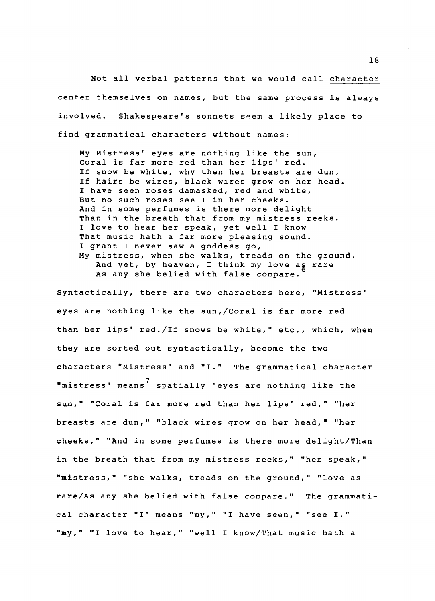Not all verbal patterns that we would call character center themselves on names, but the same process is always involved. Shakespeare's sonnets seem a likely place to find grammatical characters without names:

My Mistress' eyes are nothing like the sun, Coral is far more red than her lips' red. If snow be white, why then her breasts are dun, If hairs be wires, black wires grow on her head. I have seen roses damasked, red and white, But no such roses see I in her cheeks. And in some perfumes is there more delight Than in the breath that from my mistress reeks. I love to hear her speak, yet well I know That music hath a far more pleasing sound. I grant I never saw a goddess go, My mistress, when she walks, treads on the ground. And yet, by heaven, I think my love ag rare As any she belied with false compare.

Syntactically, there are two characters here, "Mistress' eyes are nothing like the sun,/Coral is far more red than her lips' red./If snows be white," etc., which, when they are sorted out syntactically, become the two characters "Mistress" and "I." The grammatical character "mistress" means 7 spatially "eyes are nothing like the sun," "Coral is far more red than her lips' red," "her breasts are dun," "black wires grow on her head," "her cheeks," "And in some perfumes is there more delight/Than in the breath that from my mistress reeks," "her speak," "mistress," "she walks, treads on the ground," "love as rare/As any she belied with false compare." The grammatical character "I" means "my," "I have seen," "see I," "my," "I love to hear," "well I know/That music hath a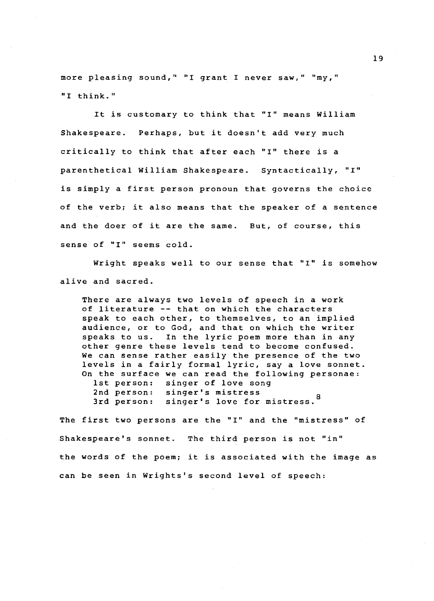more pleasing sound," "I grant I never saw," "my," "I think."

It is customary to think that "I" means William Shakespeare. Perhaps, but it doesn't add very much critically to think that after each "I" there is a parenthetical William Shakespeare. Syntactically, "I" is simply a first person pronoun that governs the choice of the verb; it also means that the speaker of a sentence and the doer of it are the same. But, of course, this sense of "I" seems cold.

Wright speaks well to our sense that "I" is somehow alive and sacred.

There are always two levels of speech in a work of literature -- that on which the characters speak to each other, to themselves, to an implied audience, or to God, and that on which the writer speaks to us. In the lyric poem more than in any other genre these levels tend to become confused. We can sense rather easily the presence of the two levels in a fairly formal lyric, say a love sonnet. On the surface we can read the following personae: 1st person: singer of love song 2nd person: singer's mistress 3rd person: singer's love for mistress. <sup>8</sup>

The first two persons are the "I" and the "mistress" of Shakespeare's sonnet. The third person is not "in" the words of the poem; it is associated with the image as can be seen in Wrights's second level of speech: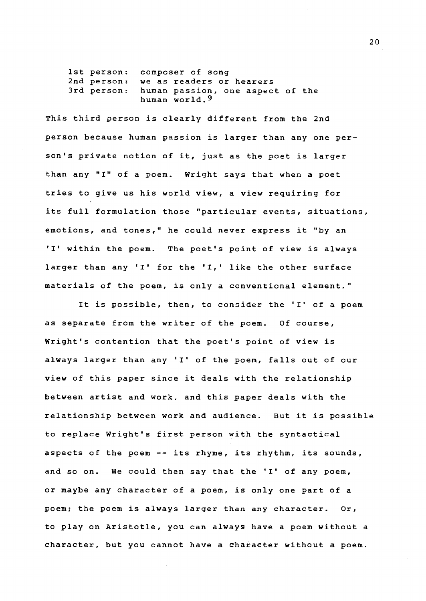1st person: composer of song 2nd person: 3rd person: we as readers or hearers human passion, one aspect of the human world.9

This third person is clearly different from the 2nd person because human passion is larger than any one person's private notion of it, just as the poet is larger than any "I" of a poem. Wright says that when a poet tries to give us his world view, a view requiring for its full formulation those "particular events, situations, emotions, and tones," he could never express it "by an 'I' within the poem. The poet's point of view is always larger than any 'I' for the 'I,' like the other surface materials of the poem, is only a conventional element."

It is possible, then, to consider the 'I' of a poem as separate from the writer of the poem. Of course, Wright's contention that the poet's point of view is always larger than any 'I' of the poem, falls out of our view of this paper since it deals with the relationship between artist and work, and this paper deals with the relationship between work and audience. But it is possible to replace Wright's first person with the syntactical aspects of the poem -- its rhyme, its rhythm, its sounds, and so on. We could then say that the 'I' of any poem, or maybe any character of a poem, is only one part of a poem; the poem is always larger than any character. or, to play on Aristotle, you can always have a poem without a character, but you cannot have a character without a poem.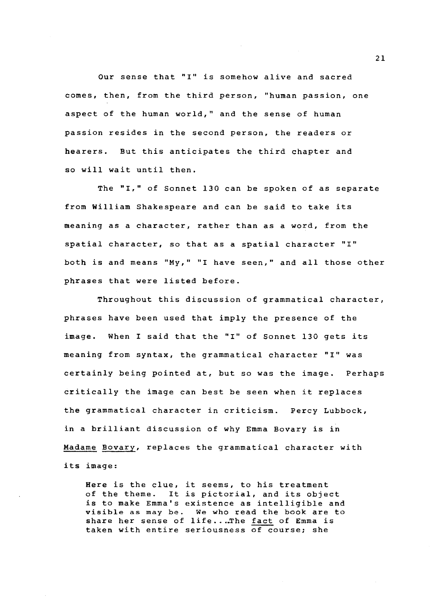Our sense that "I" is somehow alive and sacred comes, then, from the third person, "human passion, one aspect of the human world," and the sense of human passion resides in the second person, the readers or hearers. But this anticipates the third chapter and so will wait until then.

The "I," of Sonnet 130 can be spoken of as separate from William Shakespeare and can be said to take its meaning as a character, rather than as a word, from the spatial character, so that as a spatial character "I" both is and means "My," "I have seen," and all those other phrases that were listed before.

Throughout this discussion of grammatical character, phrases have been used that imply the presence of the image. When I said that the "I" of Sonnet 130 gets its meaning from syntax, the grammatical character "I" was certainly being pointed at, but so was the image. Perhaps critically the image can best be seen when it replaces the grammatical character in criticism. Percy Lubbock, in a brilliant discussion of why Emma Bovary is in Madame Bovary, replaces the grammatical character with its image:

Here is the clue, it seems, to his treatment of the theme. It is pictorial, and its object is to make Emma's existence as intelligible and visible as may be. We who read the book are to share her sense of life...The fact of Emma is taken with entire seriousness of course; she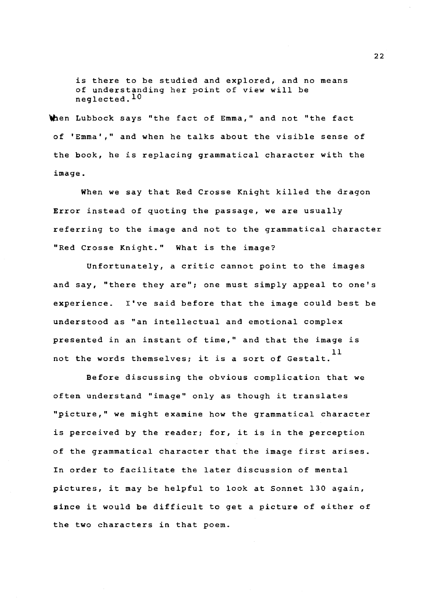is there to be studied and explored, and no means of understanding her point of view will be neglected.lO

then Lubbock says "the fact of Emma," and not "the fact of 'Emma'," and when he talks about the visible sense of the book, he is replacing grammatical character with the image.

When we say that Red Crosse Knight killed the dragon Error instead of quoting the passage, we are usually referring to the image and not to the grammatical character "Red Crosse Knight." What is the image?

Unfortunately, a critic cannot point to the images and say, "there they are"; one must simply appeal to one's experience. I've said before that the image could best be understood as "an intellectual and emotional complex presented in an instant of time," and that the image is 11 not the words themselves; it is a sort of Gestalt.

Before discussing the obvious complication that we often understand "image" only as though it translates "picture," we might examine how the grammatical character is perceived by the reader; for, it is in the perception of the grammatical character that the image first arises. In order to facilitate the later discussion of mental pictures, it may be helpful to look at Sonnet 130 again, since it would be difficult to get a picture of either of the two characters in that poem.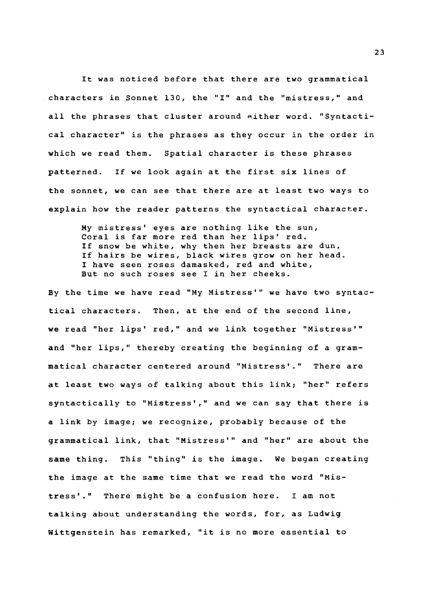It was noticed before that there are two grammatical characters in Sonnet 130, the "I" and the "mistress," and all the phrases that cluster around either word. "Syntactical character" is the phrases as they occur in the order in which we read them. Spatial character is these phrases patterned. If we look again at the first six lines of the sonnet, we can see that there are at least two ways to explain how the reader patterns the syntactical character.

> My mistress' eyes are nothing like the sun, Coral is far more red than her lips' red. If snow be white, why then her breasts are dun, If hairs be wires, black wires grow on her head. I have seen roses damasked, red and white, But no such roses see I in her cheeks.

By the time we have read "My Mistress'" we have two syntactical characters. Then, at the end of the second line, we read "her lips' red," and we link together "Mistress'" and "her lips," thereby creating the beginning of a grammatical character centered around "Mistress'." There are at least two ways of talking about this link; "her" refers syntactically to "Mistress'," and we can say that there is a link by image; we recognize, probably because of the grammatical link, that "Mistress'" and "her" are about the same thing. This "thing" is the image. We began creating the image at the same time that we read the word "Mistress'." There might be a confusion here. I am not talking about understanding the words, for, as Ludwig Wittgenstein has remarked, "it is no more essential to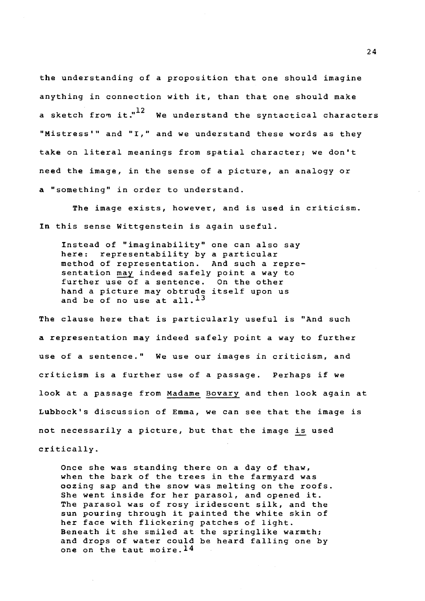the understanding of a proposition that one should imagine anything in connection with it, than that one should make a sketch from it."<sup>12</sup> We understand the syntactical characters "Mistress'" and "I," and we understand these words as they take on literal meanings from spatial character; we don't need the image, in the sense of a picture, an analogy or a "something" in order to understand.

The image exists, however, and is used in criticism. In this sense Wittgenstein is again useful.

Instead of "imaginability" one can also say here: representability by a particular method of representation. And such a representation may indeed safely point a way to further use of a sentence. On the other hand a picture may obtrude itself upon us and be of no use at all.<sup>13</sup>

The clause here that is particularly useful is "And such a representation may indeed safely point a way to further use of a sentence." We use our images in criticism, and criticism is a further use of a passage. Perhaps if we look at a passage from Madame Bovary and then look again at Lubbock's discussion of Emma, we can see that the image is not necessarily a picture, but that the image is used critically.

Once she was standing there on a day of thaw, when the bark of the trees in the farmyard was oozing sap and the snow was melting on the roofs. She went inside for her parasol, and opened it. The parasol was of rosy iridescent silk, and the sun pouring through it painted the white skin of her face with flickering patches of light. Beneath it she smiled at the springlike warmth; and drops of water could be heard falling one by one on the taut moire.<sup>14</sup>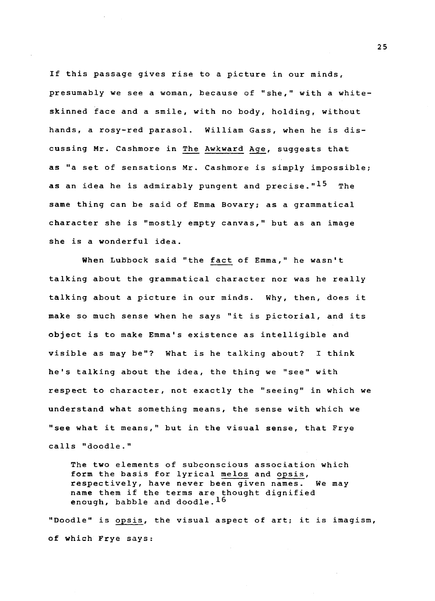If this passage gives rise to a picture in our minds, presumably we see a woman, because of "she," with a whiteskinned face and a smile, with no body, holding, without hands, a rosy-red parasol. William Gass, when he is discussing Mr. Cashmore in The Awkward Age, suggests that as "a set of sensations Mr. Cashmore is simply impossible; as an idea he is admirably pungent and precise."<sup>15</sup> The same thing can be said of Emma Bovary; as a grammatical character she is "mostly empty canvas," but as an image she is a wonderful idea.

When Lubbock said "the fact of Emma," he wasn't talking about the grammatical character nor was he really talking about a picture in our minds. Why, then, does it make so much sense when he says "it is pictorial, and its object is to make Emma's existence as intelligible and visible as may be"? What is he talking about? I think he's talking about the idea, the thing we "see" with respect to character, not exactly the "seeing" in which we understand what something means, the sense with which we "see what it means," but in the visual sense, that Frye calls "doodle."

The two elements of subconscious association which form the basis for lyrical melos and opsis, respectively, have never been given names. We may name them if the terms are thought dignified enough, babble and doodle.<sup>16</sup>

"Doodle" is opsis, the visual aspect of art; it is imagism, of which Frye says: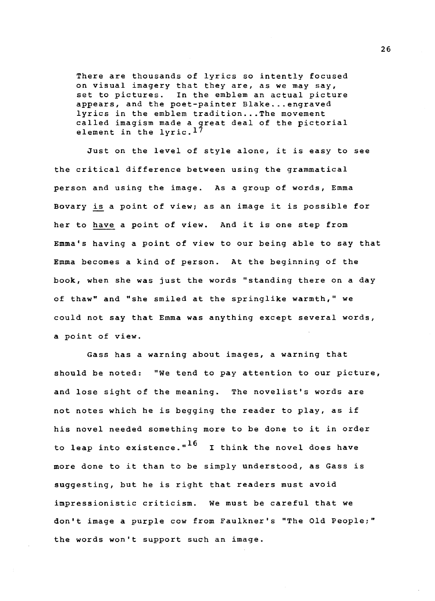There are thousands of lyrics so intently focused on visual imagery that they are, as we may say, set to pictures. In the emblem an actual picture appears, and the poet-painter Blake...engraved lyrics in the emblem tradition...The movement called imagism made a great deal of the pictorial element in the  $1$ yric.<sup>17</sup>

Just on the level of style alone, it is easy to see the critical difference between using the grammatical person and using the image. As a group of words, Emma Bovary is a point of view; as an image it is possible for her to have a point of view. And it is one step from Emma's having a point of view to our being able to say that Emma becomes a kind of person. At the beginning of the book, when she was just the words "standing there on a day of thaw" and "she smiled at the springlike warmth," we could not say that Emma was anything except several words, a point of view.

Gass has a warning about images, a warning that should be noted: "We tend to pay attention to our picture, and lose sight of the meaning. The novelist's words are not notes which he is begging the reader to play, as if his novel needed something more to be done to it in order to leap into existence." $16$  I think the novel does have more done to it than to be simply understood, as Gass is suggesting, but he is right that readers must avoid impressionistic criticism. We must be careful that we don't image a purple cow from Faulkner's "The Old People;" the words won't support such an image.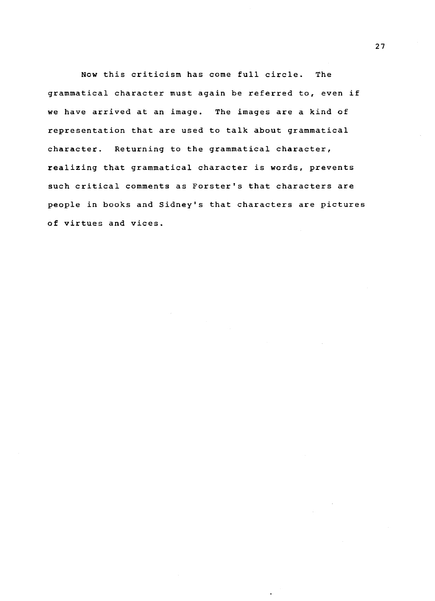Now this criticism has come full circle. The grammatical character must again be referred to, even if we have arrived at an image. The images are a kind of representation that are used to talk about grammatical character. Returning to the grammatical character, realizing that grammatical character is words, prevents such critical comments as Forster's that characters are people in books and Sidney's that characters are pictures of virtues and vices.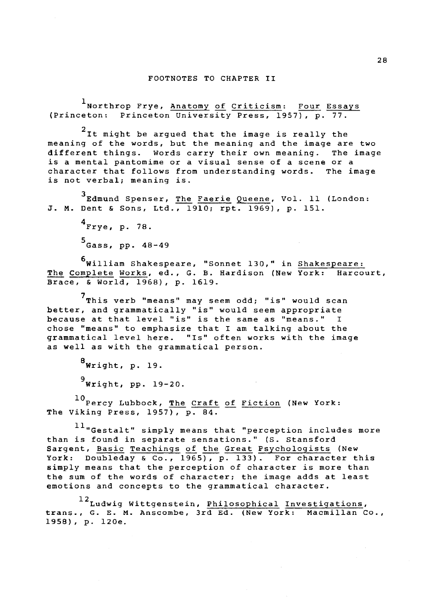1 Northrop Frye, Anatomy of Criticism: Four Essays (Princeton: Princeton University Press, 1957), p. 77.

 $2$ It might be argued that the image is really the meaning of the words, but the meaning and the image are two different things. Words carry their own meaning. The image is a mental pantomime or a visual sense of a scene or a character that follows from understanding words. The image is not verbal; meaning is.

3 Edmund Spenser, The Faerie Queene, Vol. 11 (London: J. M. Dent & Sons, Ltd., 1910; rpt. 1969), p. 151.

> $4$ Frye, p. 78. 5 Gass, pp. 48-49

6william Shakespeare, "Sonnet 130," in Shakespeare: The Complete Works, ed., G. B. Hardison (New York: Harcourt, Brace, & World, 1968), p. 1619.

7 This verb "means" may seem odd; "is" would scan better, and grammatically "is" would seem appropriate because at that level "is" is the same as "means." I chose "means" to emphasize that I am talking about the grammatical level here. "Is" often works with the image as well as with the grammatical person.

 $8$ Wright, p. 19.

 $9$  Wright, pp. 19-20.

10 Percy Lubbock, The Craft of Fiction (New York: The Viking Press, 1957), p. 84.

<sup>11</sup> "Gestalt" simply means that "perception includes more than is found in separate sensations." (S. Stansford Sargent, Basic Teachings of the Great Psychologists (New York: Doubleday & Co., 1965), p. 133). For character this simply means that the perception of character is more than the sum of the words of character; the image adds at least emotions and concepts to the grammatical character.

12Ludwig Wittgenstein, Philosophical Investigations, trans., G. E. M. Anscombe, 3rd Ed. (New York: Macmillan Co., 1958), p. l20e.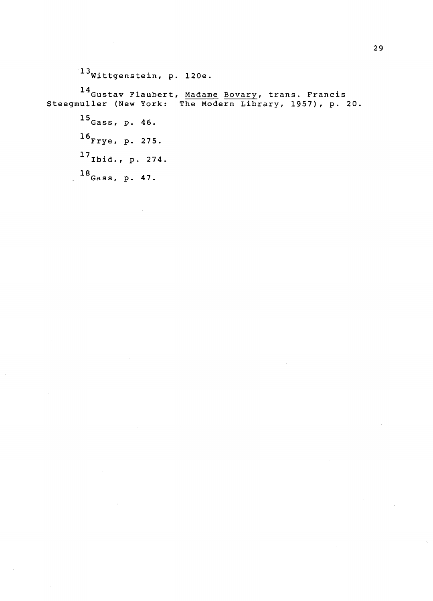$^{13}$ Wittgenstein, p. 120e. 14<br>Gustav Flaubert, <u>Madame Bovary</u>, trans. Francis Steegmuller (New York: The Modern Library, 1957), p. 20. 15 Gass, p. 46. 16 Frye, p. 275.  $17$  Ibid., p. 274. 18 Gass, p. 47.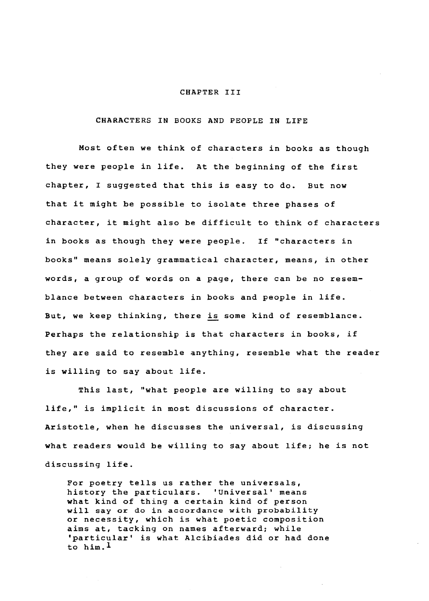#### CHAPTER III

CHARACTERS IN BOOKS AND PEOPLE IN LIFE

Most often we think of characters in books as though they were people in life. At the beginning of the first chapter, I suggested that this is easy to do. But now that it might be possible to isolate three phases of character, it might also be difficult to think of characters in books as though they were people. If "characters in books" means solely grammatical character, means, in other words, a group of words on a page, there can be no resemblance between characters in books and people in life. But, we keep thinking, there is some kind of resemblance. Perhaps the relationship is that characters in books, if they are said to resemble anything, resemble what the reader is willing to say about life.

This last, "what people are willing to say about life," is implicit in most discussions of character. Aristotle, when he discusses the universal, is discussing what readers would be willing to say about life; he is not discussing life.

For poetry tells us rather the universals, history the particulars. 'Universal' means what kind of thing a certain kind of person will say or do in accordance with probability or necessity, which is what poetic composition aims at, tacking on names afterward; while 'particular' is what Alcibiades did or had done to him.l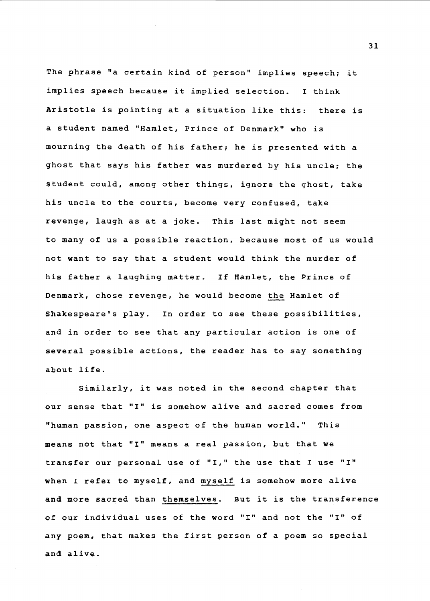The phrase "a certain kind of person" implies speech; it implies speech because it implied selection. I think Aristotle is pointing at a situation like this: there is a student named "Hamlet, Prince of Denmark" who is mourning the death of his father; he is presented with a ghost that says his father was murdered by his uncle; the student could, among other things, ignore the ghost, take his uncle to the courts, become very confused, take revenge, laugh as at a joke. This last might not seem to many of us a possible reaction, because most of us would not want to say that a student would think the murder of his father a laughing matter. If Hamlet, the Prince of Denmark, chose revenge, he would become the Hamlet of Shakespeare's play. In order to see these possibilities, and in order to see that any particular action is one of several possible actions, the reader has to say something about life.

Similarly, it was noted in the second chapter that our sense that "I" is somehow alive and sacred comes from "human passion, one aspect of the human world." This means not that "I" means a real passion, but that we transfer our personal use of "I," the use that I use "I" when I refez to myself, and myself is somehow more alive and more sacred than themselves. But it is the transference of our individual uses of the word "I" and not the "I" of any poem, that makes the first person of a poem so special and alive.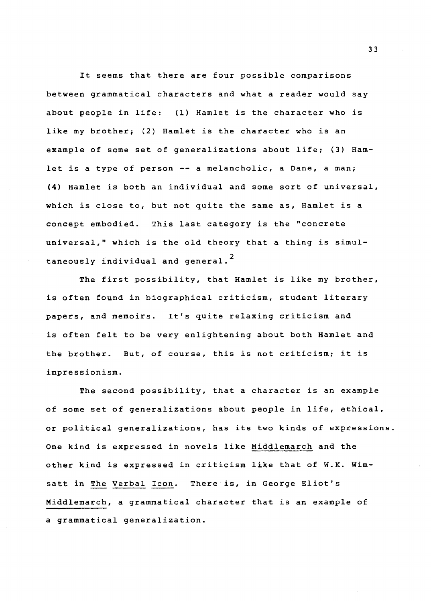It seems that there are four possible comparisons between grammatical characters and what a reader would say about people in life: (1} Hamlet is the character who is like my brother; (2) Hamlet is the character who is an example of some set of generalizations about life; (3) Hamlet is a type of person -- a melancholic, a Dane, a man; (4) Hamlet is both an individual and some sort of universal, which is close to, but not quite the same as, Hamlet is a concept embodied. This last category is the "concrete universal," which is the old theory that a thing is simultaneously individual and general.<sup>2</sup>

The first possibility, that Hamlet is like my brother, is often found in biographical criticism, student literary papers, and memoirs. It's quite relaxing criticism and is often felt to be very enlightening about both Hamlet and the brother. But, of course, this is not criticism; it is impressionism.

The second possibility, that a character is an example of some set of generalizations about people in life, ethical, or political generalizations, has its two kinds of expressions. One kind is expressed in novels like Middlemarch and the other kind is expressed in criticism like that of W.K. Wimsatt in The Verbal Icon. There is, in George Eliot's Middlemarch, a grammatical character that is an example of a grammatical generalization.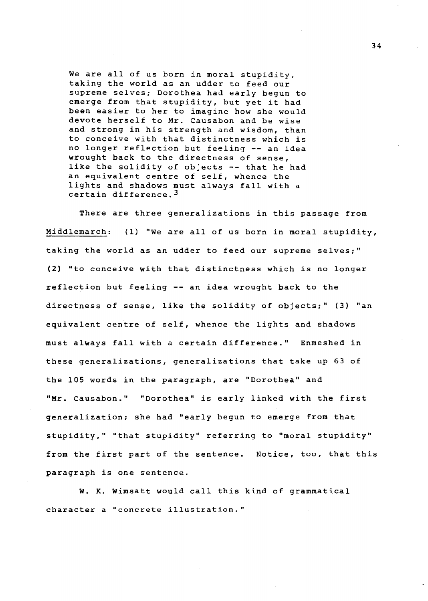We are all of us born in moral stupidity, taking the world as an udder to feed our supreme selves; Dorothea had early begun to emerge from that stupidity, but yet it had been easier to her to imagine how she would devote herself to Mr. Causabon and be wise and strong in his strength and wisdom, than to conceive with that distinctness which is no longer reflection but feeling -- an idea wrought back to the directness of sense, like the solidity of objects -- that he had an equivalent centre of self, whence the lights and shadows must always fall with a certain difference.3

There are three generalizations in this passage from Middlemarch: (1) "We are all of us born in moral stupidity, taking the world as an udder to feed our supreme selves;" (2) "to conceive with that distinctness which is no longer reflection but feeling -- an idea wrought back to the directness of sense, like the solidity of objects;" (3) "an equivalent centre of self, whence the lights and shadows must always fall with a certain difference." Enmeshed in these generalizations, generalizations that take up 63 of the 105 words in the paragraph, are "Dorothea" and "Mr. causabon." "Dorothea" is early linked with the first generalization; she had "early begun to emerge from that stupidity," "that stupidity" referring to "moral stupidity" from the first part of the sentence. Notice, too, that this paragraph is one sentence.

W. K. Wimsatt would call this kind of grammatical character a "concrete illustration."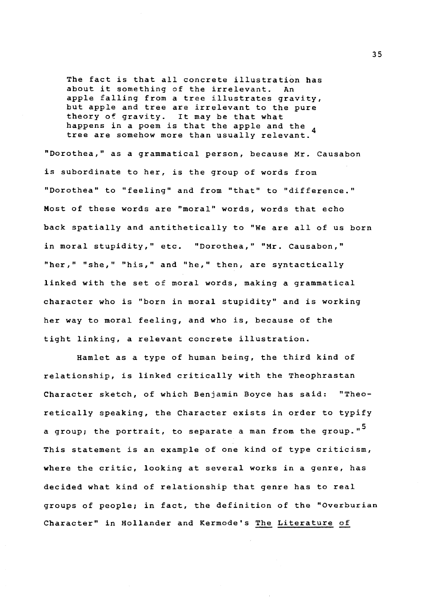The fact is that all concrete illustration has<br>about it something of the irrelevant. An about it something of the irrelevant. apple falling from a tree illustrates gravity, but apple and tree are irrelevant to the pure theory of gravity. It may be that what<br>happens in a poem is that the apple and the tree are somehow more than usually relevant.

"Dorothea," as a grammatical person, because Mr. Causabon is subordinate to her, is the group of words from "Dorothea" to "feeling" and from "that" to "difference." Most of these words are "moral" words, words that echo back spatially and antithetically to "We are all of us born in moral stupidity," etc. "Dorothea," "Mr. Causabon," "her," "she," "his," and "he," then, are syntactically linked with the set of moral words, making a grammatical character who is "born in moral stupidity" and is working her way to moral feeling, and who is, because of the tight linking, a relevant concrete illustration.

Hamlet as a type of human being, the third kind of relationship, is linked critically with the Theophrastan Character sketch, of which Benjamin Boyce has said: "Theoretically speaking, the Character exists in order to typify a group; the portrait, to separate a man from the group."<sup>5</sup> This statement is an example of one kind of type criticism, where the critic, looking at several works in a genre, has decided what kind of relationship that genre has to real groups of people; in fact, the definition of the "Overburian Character" in Hollander and Kermode's The Literature of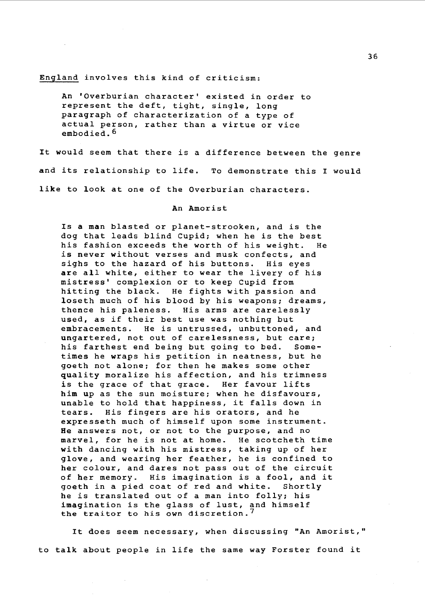### England involves this kind of criticism:

An 'Overburian character' existed in order to represent the deft, tight, single, long paragraph of characterization of a type of actual person, rather than a virtue or vice embodied.<sup>6</sup>

It would seem that there is a difference between the genre and its relationship to life. To demonstrate this I would like to look at one of the Overburian characters.

#### An Amorist

Is a man blasted or planet-strooken, and is the dog that leads blind Cupid; when he is the best his fashion exceeds the worth of his weight. He is never without verses and musk confects, and sighs to the hazard of his buttons. His eyes are all white, either to wear the livery of his mistress' complexion or to keep Cupid from hitting the black. He fights with passion and loseth much of his blood by his weapons; dreams, thence his paleness. His arms are carelessly used, as if their best use was nothing but embracements. He is untrussed, unbuttoned, and ungartered, not out of carelessness, but care; his farthest end being but going to bed. Sometimes he wraps his petition in neatness, but he goeth not alone; for then he makes some other quality moralize his affection, and his trimness is the grace of that grace. Her favour lifts him up as the sun moisture; when he disfavours, unable to hold that happiness, it falls down in<br>tears. His fingers are his orators, and he His fingers are his orators, and he expresseth much of himself upon some instrument. He answers not, or not to the purpose, and no marvel, for he is not at home. He scotcheth time with dancing with his mistress, taking up of her glove, and wearing her feather, he is confined to her colour, and dares not pass out of the circuit of her memory. His imagination is a fool, and it<br>goeth in a pied coat of red and white. Shortly goeth in a pied coat of red and white. he is translated out of a man into folly; his imagination is the glass of lust, and himself the traitor to his own discretion.<sup>7</sup>

It does seem necessary, when discussing "An Amorist," to talk about people in life the same way Forster found it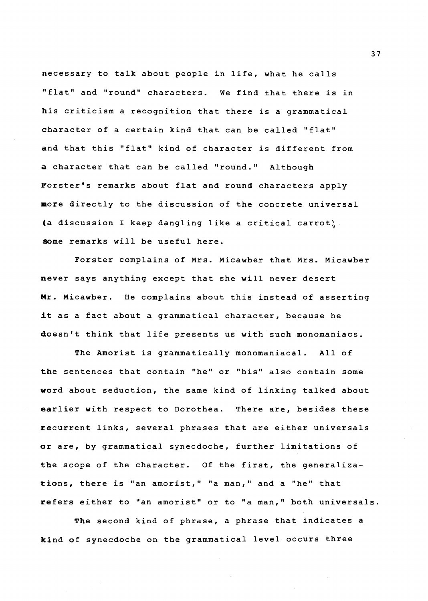necessary to talk about people in life, what he calls "flat" and "round" characters. We find that there is in his criticism a recognition that there is a grammatical character of a certain kind that can be called "flat" and that this "flat" kind of character is different from a character that can be called "round." Although Forster's remarks about flat and round characters apply more directly to the discussion of the concrete universal (a discussion I keep dangling like a critical carrot) \$0me remarks will be useful here.

Forster complains of Mrs. Micawber that Mrs. Micawber never says anything except that she will never desert Mr. Micawber. He complains about this instead of asserting it as a fact about a grammatical character, because he doesn't think that life presents us with such monomaniacs.

The Amorist is grammatically monomaniacal. All of the sentences that contain "he" or "his" also contain some word about seduction, the same kind of linking talked about earlier with respect to Dorothea. There are, besides these recurrent links, several phrases that are either universals or are, by grammatical synecdoche, further limitations of the scope of the character. Of the first, the generalizations, there is "an amorist," "a man," and a "he" that refers either to "an amorist" or to "a man," both universals.

The second kind of phrase, a phrase that indicates a kind of synecdoche on the grammatical level occurs three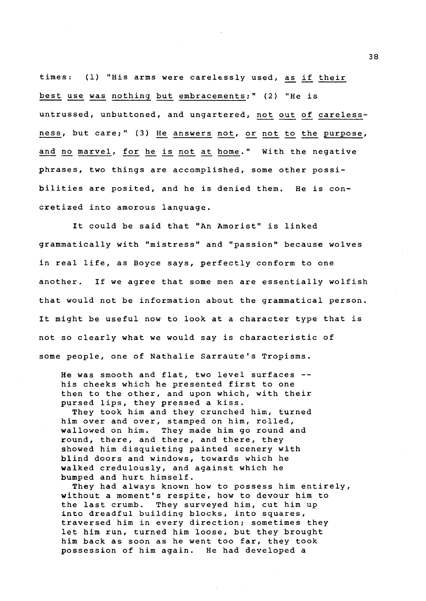times: (1) "His arms were carelessly used, as if their best use was nothing but embracements;" (2) "He is untrussed, unbuttoned, and ungartered, not out of careless ness, but care;" (3) He answers not, or not to the purpose, and no marvel, for he is not at home." With the negative phrases, two things are accomplished, some other possibilities are posited, and he is denied them. He is concretized into amorous language.

It could be said that "An Amorist" is linked grammatically with "mistress" and "passion" because wolves in real life, as Boyce says, perfectly conform to one another. If we agree that some men are essentially wolfish that would not be information about the grammatical person. It might be useful now to look at a character type that is not so clearly what we would say is characteristic of some people, one of Nathalie Sarraute's Tropisms.

He was smooth and flat, two level surfaces - his cheeks which he presented first to one then to the other, and upon which, with their pursed lips, they pressed a kiss.

They took him and they crunched him, turned him over and over, stamped on him, rolled, wallowed on him. They made him go round and round, there, and there, and there, they showed him disquieting painted scenery with blind doors and windows, towards which he walked credulously, and against which he bumped and hurt himself.

They had always known how to possess him entirely, without a moment's respite, how to devour him to the last crumb. They surveyed him, cut him up into dreadful building blocks, into squares, traversed him in every direction; sometimes they let him run, turned him loose, but they brought him back as soon as he went too far, they took possession of him again. He had developed a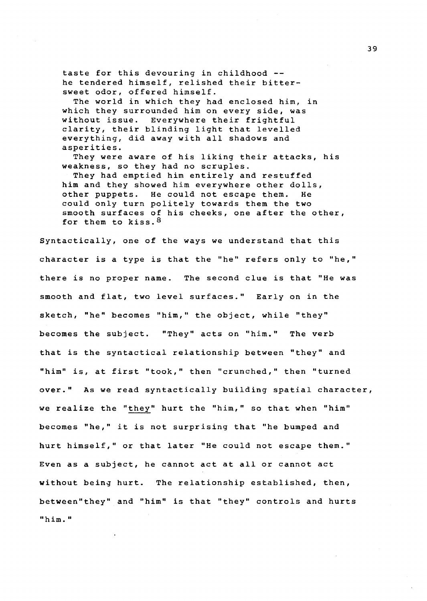taste for this devouring in childhood - he tendered himself, relished their bittersweet odor, offered himself.

The world in which they had enclosed him, in which they surrounded him on every side, was without issue. Everywhere their frightful clarity, their blinding light that levelled everything, did away with all shadows and asperities.

They were aware of his liking their attacks, his weakness, so they had no scruples.

They had emptied him entirely and restuffed him and they showed him everywhere other dolls, other puppets. He could not escape them. He could only turn politely towards them the two smooth surfaces of his cheeks, one after the other, for them to kiss. 8

Syntactically, one of the ways we understand that this character is a type is that the "he" refers only to "he," there is no proper name. The second clue is that "He was smooth and flat, two level surfaces." Early on in the sketch, "he" becomes "him," the object, while "they" becomes the subject. "They" acts on "him." The verb that is the syntactical relationship between "they" and "him" is, at first "took," then "crunched," then "turned over." As we read syntactically building spatial character, we realize the "they" hurt the "him," so that when "him" becomes "he," it is not surprising that "he bumped and hurt himself," or that later "He could not escape them." Even as a subject, he cannot act at all or cannot act without being hurt. The relationship established, then, between"they" and "him" is that "they" controls and hurts "him."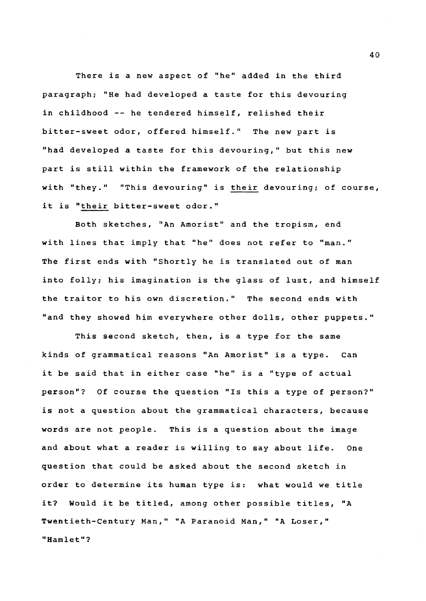There is a new aspect of "he" added in the third paragraph; "He had developed a taste for this devouring in childhood -- he tendered himself, relished their bitter-sweet odor, offered himself." The new part is "had developed a taste for this devouring," but this new part is still within the framework of the relationship with "they." "This devouring" is their devouring; of course, it is "their bitter-sweet odor."

Both sketches, "An Amorist" and the tropism, end with lines that imply that "he" does not refer to "man." The first ends with "Shortly he is translated out of man into folly; his imagination is the glass of lust, and himself the traitor to his own discretion." The second ends with "and they showed him everywhere other dolls, other puppets."

This second sketch, then, is a type for the same kinds of grammatical reasons "An Amorist" is a type. Can it be said that in either case "he" is a "type of actual person"? Of course the question "Is this a type of person?" is not a question about the grammatical characters, because words are not people. This is a question about the image and about what a reader is willing to say about life. One question that could be asked about the second sketch in order to determine its human type is: what would we title it? Would it be titled, among other possible titles, "A Twentieth-Century Man,'' "A Paranoid Man," "A Loser," "Hamlet"?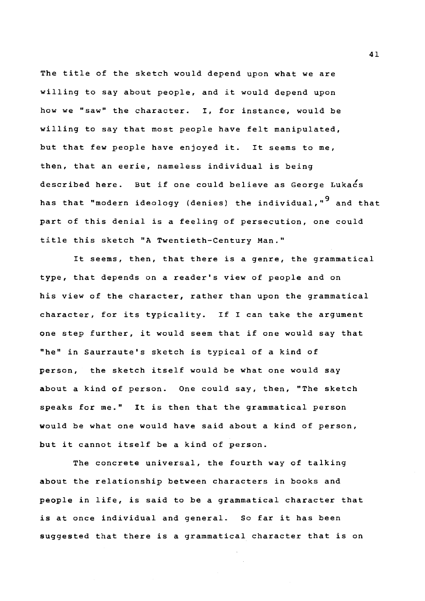The title of the sketch would depend upon what we are willing to say about people, and it would depend upon how we "saw" the character. I, for instance, would be willing to say that most people have felt manipulated, but that few people have enjoyed it. It seems to me, then, that an eerie, nameless individual is being described here. But if one could believe as George Lukacs has that "modern ideology (denies) the individual,"<sup>9</sup> and that part of this denial is a feeling of persecution, one could title this sketch "A Twentieth-Century Man."

It seems, then, that there is a genre, the grammatical type, that depends on a reader's view of people and on his view of the character, rather than upon the grammatical character, for its typicality. If I can take the argument one step further, it would seem that if one would say that "he" in Saurraute's sketch is typical of a kind of person, the sketch itself would be what one would say about a kind of person. One could say, then, "The sketch speaks for me." It is then that the grammatical person would be what one would have said about a kind of person, but it cannot itself be a kind of person.

The concrete universal, the fourth way of talking about the relationship between characters in books and people in life, is said to be a grammatical character that is at once individual and general. So far it has been suggested that there is a grammatical character that is on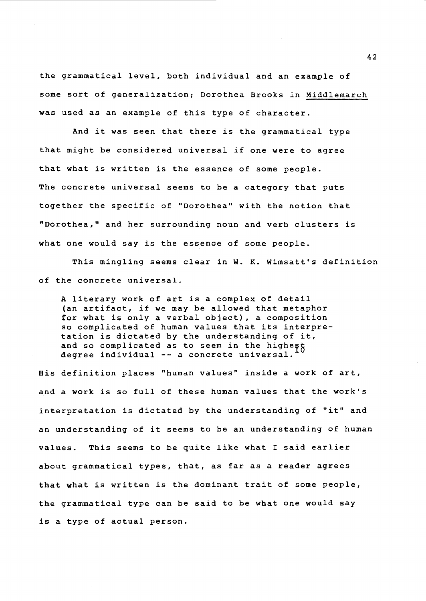the grammatical level, both individual and an example of some sort of generalization; Dorothea Brooks in Middlemarch was used as an example of this type of character.

And it was seen that there is the grammatical type that might be considered universal if one were to agree that what is written is the essence of some people. The concrete universal seems to be a category that puts together the specific of "Dorothea" with the notion that "Dorothea," and her surrounding noun and verb clusters is what one would say is the essence of some people.

This mingling seems clear in W. K. Wimsatt's definition of the concrete universal.

A literary work of art is a complex of detail (an artifact, if we may be allowed that metaphor for what is only a verbal object), a composition so complicated of human values that its interpretation is dictated by the understanding of it, and so complicated as to seem in the highest degree individual -- a concrete universal.

His definition places "human values" inside a work of art, and a work is so full of these human values that the work's interpretation is dictated by the understanding of "it" and an understanding of it seems to be an understanding of human values. This seems to be quite like what I said earlier about grammatical types, that, as far as a reader agrees that what is written is the dominant trait of some people, the grammatical type can be said to be what one would say is a type of actual person.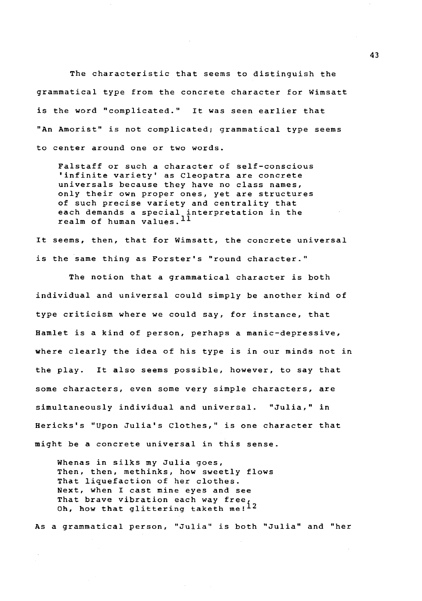The characteristic that seems to distinguish the grammatical type from the concrete character for Wimsatt is the word "complicated." It was seen earlier that "An Amorist" is not complicated; grammatical type seems to center around one or two words.

Falstaff or such a character of self-conscious 'infinite variety' as Cleopatra are concrete universals because they have no class names, only their own proper ones, yet are structures of such precise variety and centrality that each demands a special interpretation in the realm of human values.  $^{11}$ 

It seems, then, that for Wimsatt, the concrete universal is the same thing as Forster's "round character."

The notion that a grammatical character is both individual and universal could simply be another kind of type criticism where we could say, for instance, that Hamlet is a kind of person, perhaps a manic-depressive, where clearly the idea of his type is in our minds not in the play. It also seems possible, however, to say that some characters, even some very simple characters, are simultaneously individual and universal. "Julia," in Hericks's "Upon Julia's Clothes," is one character that might be a concrete universal in this sense.

Whenas in silks my Julia goes, Then, then, methinks, how sweetly flows That liquefaction of her clothes. Next, when I cast mine eyes and see That brave vibration each way free, Oh, how that glittering taketh  $me^{12}$ 

As a grammatical person, "Julia" is both "Julia" and "her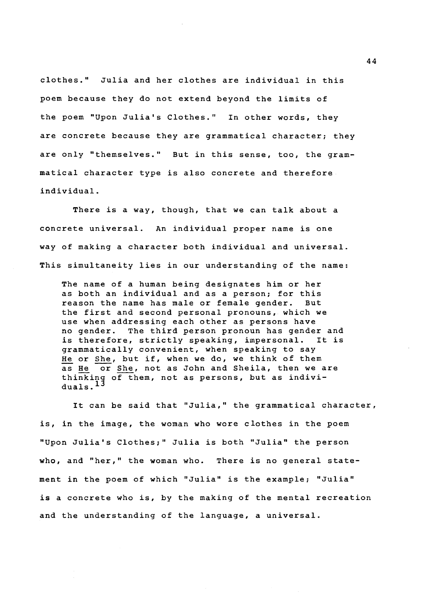clothes." Julia and her clothes are individual in this poem because they do not extend beyond the limits of the poem "Upon Julia•s Clothes." In other words, they are concrete because they are grammatical character; they are only "themselves." But in this sense, too, the grammatical character type is also concrete and therefore individual.

There is a way, though, that we can talk about a concrete universal. An individual proper name is one way of making a character both individual and universal. This simultaneity lies in our understanding of the name:

The name of a human being designates him or her as both an individual and as a person; for this reason the name has male or female gender. But the first and second personal pronouns, which we use when addressing each other as persons have no gender. The third person pronoun has gender and is therefore, strictly speaking, impersonal. It is grammatically convenient, when speaking to say He or She, but if, when we do, we think of them as He or She, not as John and Sheila, then we are thinking of them, not as persons, but as individuals. $\overline{1}$ 

It can be said that "Julia," the grammatical character, is, in the image, the woman who wore clothes in the poem "Upon Julia•s Clothes;" Julia is both "Julia" the person who, and "her," the woman who. There is no general statement in the poem of which "Julia" is the example; "Julia" is a concrete who is, by the making of the mental recreation and the understanding of the language, a universal.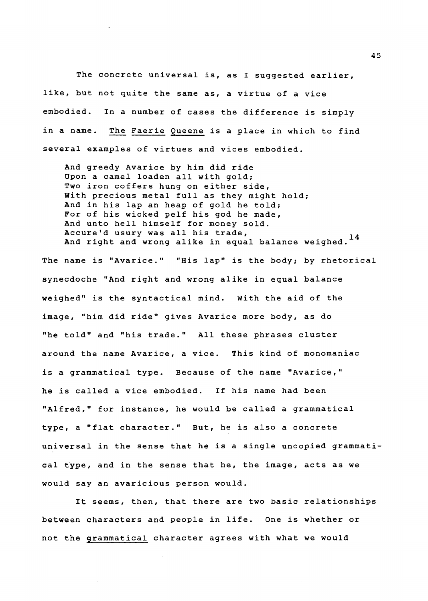The concrete universal is, as I suggested earlier, like, but not quite the same as, a virtue of a vice embodied. In a number of cases the difference is simply in a name. The Faerie Queene is a place in which to find several examples of virtues and vices embodied.

And greedy Avarice by him did ride Upon a camel loaden all with gold; Two iron coffers hung on either side, With precious metal full as they might hold; And in his lap an heap of gold he told; For of his wicked pelf his god he made, And unto hell himself for money sold. Accure'd usury was all his trade, And right and wrong alike in equal balance weighed.  $^{14}$ 

The name is "Avarice." "His lap" is the body; by rhetorical synecdoche "And right and wrong alike in equal balance weighed" is the syntactical mind. With the aid of the image, "him did ride" gives Avarice more body, as do "he told" and "his trade." All these phrases cluster around the name Avarice, a vice. This kind of monomaniac is a grammatical type. Because of the name "Avarice," he is called a vice embodied. If his name had been "Alfred," for instance, he would be called a grammatical type, a "flat character." But, he is also a concrete universal in the sense that he is a single uncopied grammatical type, and in the sense that he, the image, acts as we would say an avaricious person would.

It seems, then, that there are two basic relationships between characters and people in life. One is whether or not the grammatical character agrees with what we would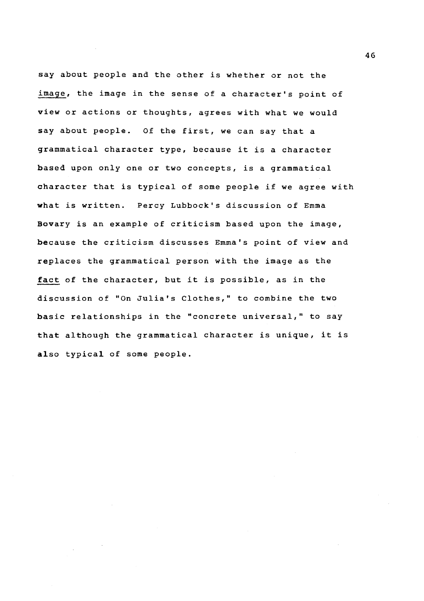say about people and the other is whether or not the image, the image in the sense of a character's point of view or actions or thoughts, agrees with what we would say about people. Of the first, we can say that a grammatical character type, because it is a character based upon only one or two concepts, is a grammatical character that is typical of some people if we agree with what is written. Percy Lubbock's discussion of Emma Bovary is an example of criticism based upon the image, because the criticism discusses Emma's point of view and replaces the grammatical person with the image as the fact of the character, but it is possible, as in the discussion of "On Julia's Clothes," to combine the two basic relationships in the "concrete universal," to say that although the grammatical character is unique, it is also typical of some people.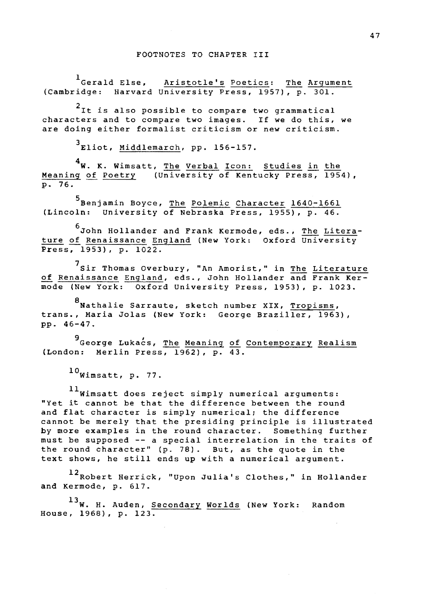1<br>Gerald Else, Aristotle's Poetics: The Argument<br>(Cambridge: Harvard University Press, 1957), p. 301. Harvard University Press, 1957), p. 301.

<sup>2</sup>It is also possible to compare two grammatical characters and to compare two images. If we do this, we are doing either formalist criticism or new criticism.

3Eliot, Middlemarch, pp. 156-157.

4W. K. Wimsatt, The Verbal Icon: Studies in the Meaning of Poetry (University of Kentucky Press, 1954), p. 76.

5<br>Benjamin Boyce, The Polemic Character 1640-1661 (Lincoln: University of Nebraska Press, 1955), p. 46.

6 John Hollander and Frank Kermode, eds., The Literature of Renaissance England (New York: Oxford University Press, 1953), p. 1022.

7sir Thomas Overbury, "An Amorist," in The Literature of Renaissance England, eds., John Hollander and Frank Kermode (New York: Oxford University Press, 1953), p. 1023.

8<br>Nathalie Sarraute, sketch number XIX, Tropisms, trans., Maria Jolas (New York: George Braziller, 1963), pp. 46-47.

9 George Lukacs, The Meaning of Contemporary Realism (London: Merlin Press, 1962), p. 43.

 $^{10}$ Wimsatt, p. 77.

 $11$ Wimsatt does reject simply numerical arguments: "Yet it cannot be that the difference between the round and flat character is simply numerical; the difference cannot be merely that the presiding principle is illustrated by more examples in the round character. Something further must be supposed -- a special interrelation in the traits of the round character" (p. 78). But, as the quote in the text shows, he still ends up with a numerical argument.

 $12$ Robert Herrick, "Upon Julia's Clothes," in Hollander and Kermode, p. 617.

13W. H. Auden, Secondary Worlds (New York: Random House, 1968), p. 123.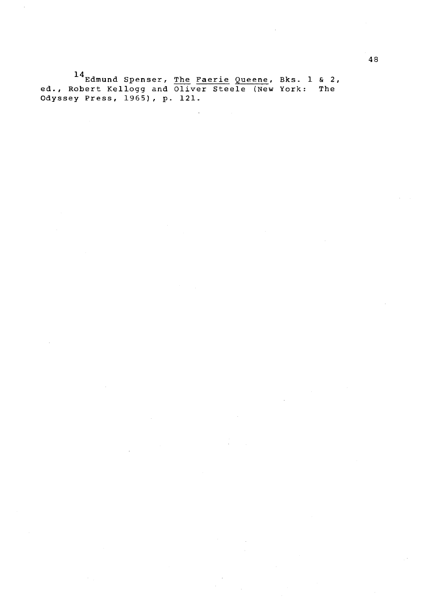$^{14}$ Edmund Spenser, <u>The Faerie Queene</u>, Bks. ed., Robert Kellogg and Oliver Steele (New York: Odyssey Press, 1965), p. 121. 1 & 2, The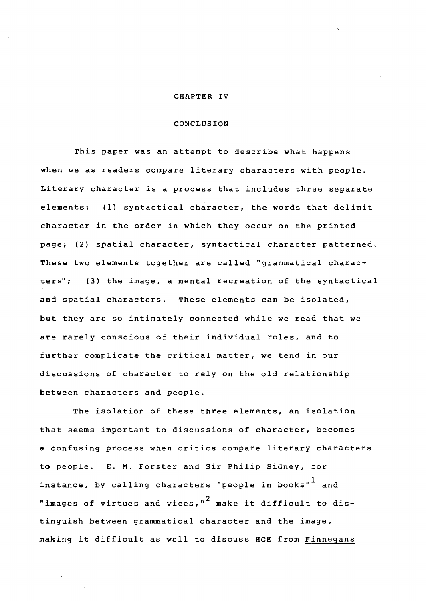### CHAPTER IV

# CONCLUSION

This paper was an attempt to describe what happens when we as readers compare literary characters with people. Literary character is a process that includes three separate elements: (1) syntactical character, the words that delimit character in the order in which they occur on the printed page; (2) spatial character, syntactical character patterned. These two elements together are called "grammatical characters"; (3) the image, a mental recreation of the syntactical and spatial characters. These elements can be isolated, but they are so intimately connected while we read that we are rarely conscious of their individual roles, and to further complicate the critical matter, we tend in our discussions of character to rely on the old relationship between characters and people.

The isolation of these three elements, an isolation that seems important to discussions of character, becomes a confusing process when critics compare literary characters to people. E. M. Forster and Sir Philip Sidney, for instance, by calling characters "people in books" $<sup>1</sup>$  and</sup> "images of virtues and vices," $^2$  make it difficult to distinguish between grammatical character and the image, making it difficult as well to discuss HCE from Finnegans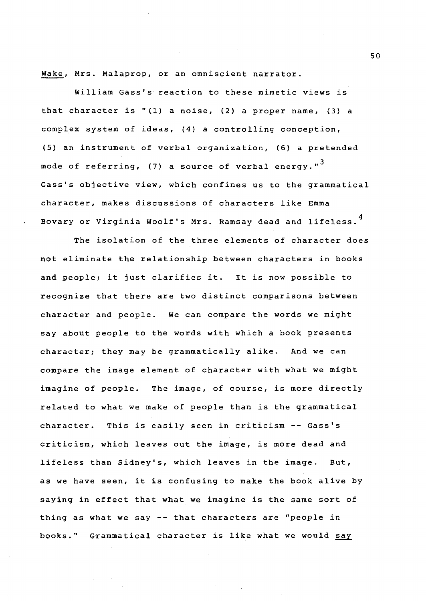Wake, Mrs. Malaprop, or an omniscient narrator.

William Gass's reaction to these mimetic views is that character is "{1) a noise, (2) a proper name, {3) a complex system of ideas, (4) a controlling conception, {5) an instrument of verbal organization, (6) a pretended mode of referring, (7) a source of verbal energy." $^{\mathbf{3}}$ Gass's objective view, which confines us to the grammatical character, makes discussions of characters like Emma Bovary or Virginia Woolf's Mrs. Ramsay dead and lifeless. <sup>4</sup>

The isolation of the three elements of character does not eliminate the relationship between characters *in* books and people; it just clarifies it. It *is* now possible to recognize that there are two distinct comparisons between character and people. We can compare the words we might say about people to the words with which a book presents character; they may be grammatically alike. And we can compare the image element of character with what we might imagine of people. The image, of course, is more directly related to what we make of people than is the grammatical character. This is easily seen in criticism -- Gass's criticism, which leaves out the image, is more dead and lifeless than Sidney's, which leaves in the image. But, as we have seen, it is confusing to make the book alive by saying in effect that what we imagine is the same sort of thing as what we say -- that characters are "people in books." Grammatical character is like what we would say

so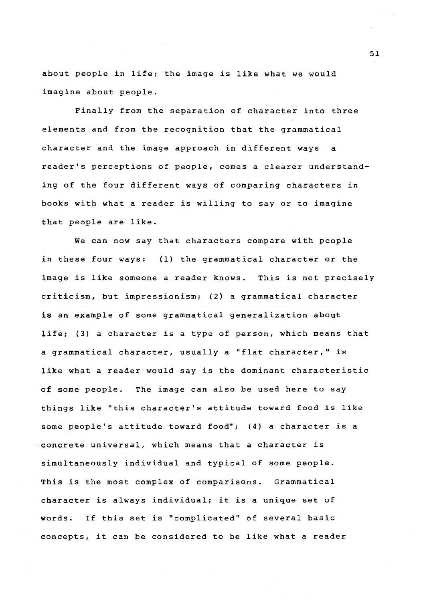about people in life; the image is like what we would imagine about people.

Finally from the separation of character into three elements and from the recognition that the grammatical character and the image approach in different ways a reader's perceptions of people, comes a clearer understanding of the four different ways of comparing characters in books with what a reader is willing to say or to imagine that people are like.

We can now say that characters compare with people in these four ways: (1) the grammatical character or the image is like someone a reader knows. This is not precisely criticism, but impressionism; (2) a grammatical character is an example of some grammatical generalization about life; (3) a character is a type of person, which means that a grammatical character, usually a "flat character," is like what a reader would say is the dominant characteristic of some people. The image can also be used here to say things like "this character's attitude toward food is like some people's attitude toward food"; (4) a character is a concrete universal, which means that a character is simultaneously individual and typical of some people. This is the most complex of comparisons. Grammatical character is always individual; it is a unique set of words. If this set is "complicated" of several basic concepts, it can be considered to be like what a reader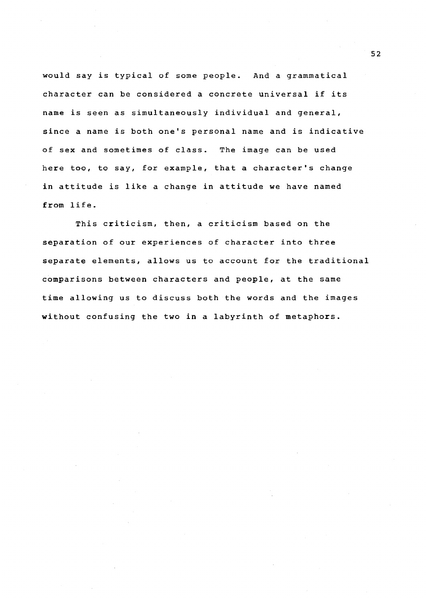would say is typical of some people. And a grammatical character can be considered a concrete universal if its name is seen as simultaneously individual and general, since a name is both one's personal name and is indicative of sex and sometimes of class. The image can be used here too, to say, for example, that a character's change in attitude is like a change in attitude we have named **from** life.

This criticism, then, a criticism based on the separation of our experiences of character into three separate elements, allows us to account for the traditional comparisons between characters and people, at the same time allowing us to discuss both the words and the images without confusing the two in a labyrinth of metaphors.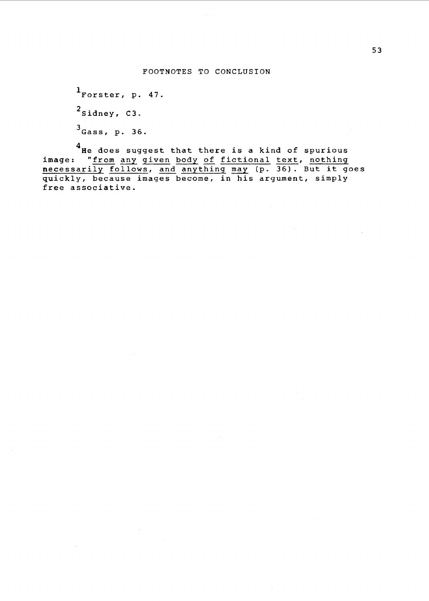<sup>1</sup>Forster, p. 47.  $2$ Sidney, C3. 3 Gass, p. 36.

4<br>He does suggest that there is a kind of spurious image: "from any given body of fictional text, nothing image: "<u>from any given body of fictional text</u>, <u>nothing</u><br><u>necessarily follows</u>, <u>and anything may</u> (p. 36). But it goes quickly, because images become, in his argument, simply free associative.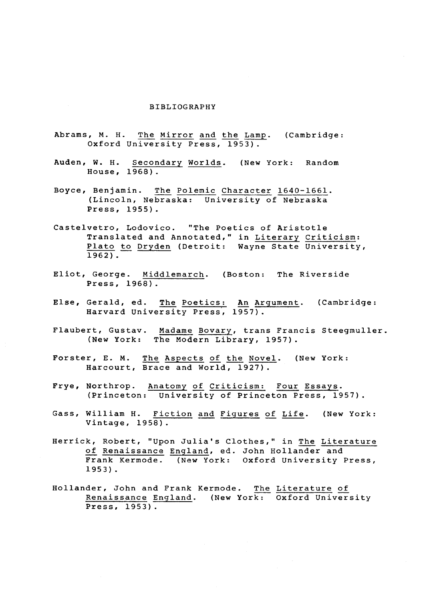#### BIBLIOGRAPHY

- Abrams, M. H. The Mirror and the Lamp. (Cambridge: Oxford University Press, 1953).
- Auden, W. H. Secondary Worlds. (New York: Random House, 1968).
- Boyce, Benjamin. The Polemic Character 1640-1661. (Lincoln, Nebraska: University of Nebraska Press, 1955).
- Castelvetro, Lodovico. "The Poetics of Aristotle Translated and Annotated," in Literary Criticism: Plato to Dryden (Detroit: Wayne State University,  $1962$ .
- Eliot, George. Middlemarch. (Boston: The Riverside Press, 1968).
- Else, Gerald, ed. The Poetics: An Argument. (Cambridge: Harvard University Press, 1957).
- Flaubert, Gustav. Madame Bovary, trans Francis Steegmuller. (New York: The Modern Library, 1957).
- Forster, E. M. The Aspects of the Novel. (New York: Harcourt, Brace and World, 1927).
- Frye, Northrop. Anatomy of Criticism: Four Essays. (Princeton: University of Princeton Press, 1957).
- Gass, William H. Fiction and Figures of Life. (New York: Vintage, 1958).
- Herrick, Robert, "Upon Julia's Clothes," in The Literature of Renaissance England, ed. John Hollander and Frank Kermode. (New York: Oxford University Press, 1953).
- Hollander, John and Frank Kermode. The Literature of Renaissance England. (New York: Oxford University Press, 1953).